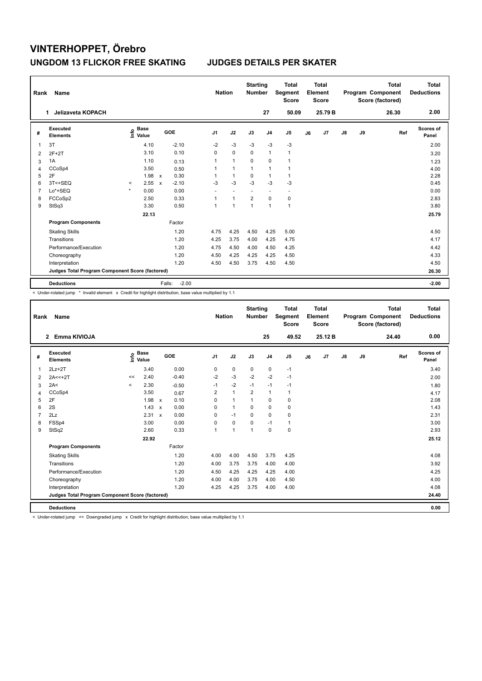| Rank | Name                                            |                                  |       |                        | <b>Nation</b>            |                | <b>Starting</b><br><b>Number</b> |                | <b>Total</b><br>Segment<br><b>Score</b> |    | <b>Total</b><br>Element<br><b>Score</b> |               |    | <b>Total</b><br>Program Component<br>Score (factored) | <b>Total</b><br><b>Deductions</b> |
|------|-------------------------------------------------|----------------------------------|-------|------------------------|--------------------------|----------------|----------------------------------|----------------|-----------------------------------------|----|-----------------------------------------|---------------|----|-------------------------------------------------------|-----------------------------------|
|      | <b>Jelizaveta KOPACH</b><br>1                   |                                  |       |                        |                          |                |                                  | 27             | 50.09                                   |    | 25.79 B                                 |               |    | 26.30                                                 | 2.00                              |
| #    | <b>Executed</b><br><b>Elements</b>              | <b>Base</b><br>e Base<br>⊆ Value |       | GOE                    | J <sub>1</sub>           | J2             | J3                               | J <sub>4</sub> | J <sub>5</sub>                          | J6 | J7                                      | $\mathsf{J}8$ | J9 | Ref                                                   | <b>Scores of</b><br>Panel         |
| 1    | 3T                                              |                                  | 4.10  | $-2.10$                | $-2$                     | $-3$           | $-3$                             | $-3$           | -3                                      |    |                                         |               |    |                                                       | 2.00                              |
| 2    | $2F+2T$                                         |                                  | 3.10  | 0.10                   | 0                        | $\mathbf 0$    | 0                                | $\overline{1}$ | $\mathbf{1}$                            |    |                                         |               |    |                                                       | 3.20                              |
| 3    | 1A                                              |                                  | 1.10  | 0.13                   | 1                        | $\mathbf{1}$   | 0                                | $\pmb{0}$      | $\mathbf{1}$                            |    |                                         |               |    |                                                       | 1.23                              |
| 4    | CCoSp4                                          |                                  | 3.50  | 0.50                   | 1                        | $\overline{1}$ | $\mathbf{1}$                     | $\overline{1}$ | 1                                       |    |                                         |               |    |                                                       | 4.00                              |
| 5    | 2F                                              |                                  | 1.98  | 0.30<br>$\mathsf{x}$   | 1                        | $\overline{1}$ | 0                                | $\mathbf{1}$   | $\mathbf{1}$                            |    |                                         |               |    |                                                       | 2.28                              |
| 6    | 3T<+SEQ                                         | $\hat{}$                         | 2.55  | $-2.10$<br>$\mathbf x$ | $-3$                     | $-3$           | $-3$                             | $-3$           | $-3$                                    |    |                                         |               |    |                                                       | 0.45                              |
| 7    | Lo*+SEQ                                         | $\star$                          | 0.00  | 0.00                   | $\overline{\phantom{a}}$ | ۰              | $\overline{\phantom{a}}$         | ٠              | $\overline{\phantom{a}}$                |    |                                         |               |    |                                                       | 0.00                              |
| 8    | FCCoSp2                                         |                                  | 2.50  | 0.33                   | 1                        | $\overline{1}$ | $\overline{2}$                   | $\mathbf 0$    | $\pmb{0}$                               |    |                                         |               |    |                                                       | 2.83                              |
| 9    | StSq3                                           |                                  | 3.30  | 0.50                   | 1                        | $\overline{1}$ | 1                                | $\overline{1}$ | $\mathbf{1}$                            |    |                                         |               |    |                                                       | 3.80                              |
|      |                                                 |                                  | 22.13 |                        |                          |                |                                  |                |                                         |    |                                         |               |    |                                                       | 25.79                             |
|      | <b>Program Components</b>                       |                                  |       | Factor                 |                          |                |                                  |                |                                         |    |                                         |               |    |                                                       |                                   |
|      | <b>Skating Skills</b>                           |                                  |       | 1.20                   | 4.75                     | 4.25           | 4.50                             | 4.25           | 5.00                                    |    |                                         |               |    |                                                       | 4.50                              |
|      | Transitions                                     |                                  |       | 1.20                   | 4.25                     | 3.75           | 4.00                             | 4.25           | 4.75                                    |    |                                         |               |    |                                                       | 4.17                              |
|      | Performance/Execution                           |                                  |       | 1.20                   | 4.75                     | 4.50           | 4.00                             | 4.50           | 4.25                                    |    |                                         |               |    |                                                       | 4.42                              |
|      | Choreography                                    |                                  |       | 1.20                   | 4.50                     | 4.25           | 4.25                             | 4.25           | 4.50                                    |    |                                         |               |    |                                                       | 4.33                              |
|      | Interpretation                                  |                                  |       | 1.20                   | 4.50                     | 4.50           | 3.75                             | 4.50           | 4.50                                    |    |                                         |               |    |                                                       | 4.50                              |
|      | Judges Total Program Component Score (factored) |                                  |       |                        |                          |                |                                  |                |                                         |    |                                         |               |    |                                                       | 26.30                             |
|      | <b>Deductions</b>                               |                                  |       | $-2.00$<br>Falls:      |                          |                |                                  |                |                                         |    |                                         |               |    |                                                       | $-2.00$                           |

-<br>< Under-rotated jump \* Invalid element x Credit for highlight distribution, base value multiplied by 1.1

| Rank           | Name                                            |         |                                  |                      |                | <b>Nation</b> | <b>Starting</b><br><b>Number</b> |                | <b>Total</b><br>Segment<br><b>Score</b> |    | <b>Total</b><br>Element<br><b>Score</b> |    |    | <b>Total</b><br>Program Component<br>Score (factored) | <b>Total</b><br><b>Deductions</b> |
|----------------|-------------------------------------------------|---------|----------------------------------|----------------------|----------------|---------------|----------------------------------|----------------|-----------------------------------------|----|-----------------------------------------|----|----|-------------------------------------------------------|-----------------------------------|
|                | Emma KIVIOJA<br>$\mathbf{2}$                    |         |                                  |                      |                |               |                                  | 25             | 49.52                                   |    | 25.12B                                  |    |    | 24.40                                                 | 0.00                              |
| #              | Executed<br><b>Elements</b>                     |         | <b>Base</b><br>e Base<br>⊆ Value | GOE                  | J <sub>1</sub> | J2            | J3                               | J <sub>4</sub> | J <sub>5</sub>                          | J6 | J7                                      | J8 | J9 | Ref                                                   | Scores of<br>Panel                |
| $\mathbf{1}$   | $2Lz+2T$                                        |         | 3.40                             | 0.00                 | 0              | 0             | $\mathbf 0$                      | $\mathbf 0$    | $-1$                                    |    |                                         |    |    |                                                       | 3.40                              |
| 2              | $2A < +2T$                                      | <<      | 2.40                             | $-0.40$              | $-2$           | $-3$          | $-2$                             | $-2$           | $-1$                                    |    |                                         |    |    |                                                       | 2.00                              |
| 3              | 2A<                                             | $\prec$ | 2.30                             | $-0.50$              | $-1$           | $-2$          | $-1$                             | $-1$           | $-1$                                    |    |                                         |    |    |                                                       | 1.80                              |
| $\overline{4}$ | CCoSp4                                          |         | 3.50                             | 0.67                 | $\overline{2}$ | $\mathbf{1}$  | $\overline{2}$                   | $\mathbf{1}$   | 1                                       |    |                                         |    |    |                                                       | 4.17                              |
| 5              | 2F                                              |         | 1.98                             | 0.10<br>$\mathbf{x}$ | $\Omega$       | $\mathbf{1}$  | $\mathbf{1}$                     | $\mathbf 0$    | 0                                       |    |                                         |    |    |                                                       | 2.08                              |
| 6              | 2S                                              |         | 1.43                             | 0.00<br>$\mathsf{x}$ | $\Omega$       | $\mathbf{1}$  | $\Omega$                         | $\Omega$       | 0                                       |    |                                         |    |    |                                                       | 1.43                              |
| $\overline{7}$ | 2Lz                                             |         | 2.31                             | 0.00<br>$\mathsf{x}$ | 0              | $-1$          | $\Omega$                         | $\Omega$       | 0                                       |    |                                         |    |    |                                                       | 2.31                              |
| 8              | FSSp4                                           |         | 3.00                             | 0.00                 | 0              | $\mathbf 0$   | $\Omega$                         | $-1$           | $\mathbf{1}$                            |    |                                         |    |    |                                                       | 3.00                              |
| 9              | StSq2                                           |         | 2.60                             | 0.33                 | 1              | $\mathbf{1}$  | 1                                | $\mathbf 0$    | $\mathbf 0$                             |    |                                         |    |    |                                                       | 2.93                              |
|                |                                                 |         | 22.92                            |                      |                |               |                                  |                |                                         |    |                                         |    |    |                                                       | 25.12                             |
|                | <b>Program Components</b>                       |         |                                  | Factor               |                |               |                                  |                |                                         |    |                                         |    |    |                                                       |                                   |
|                | <b>Skating Skills</b>                           |         |                                  | 1.20                 | 4.00           | 4.00          | 4.50                             | 3.75           | 4.25                                    |    |                                         |    |    |                                                       | 4.08                              |
|                | Transitions                                     |         |                                  | 1.20                 | 4.00           | 3.75          | 3.75                             | 4.00           | 4.00                                    |    |                                         |    |    |                                                       | 3.92                              |
|                | Performance/Execution                           |         |                                  | 1.20                 | 4.50           | 4.25          | 4.25                             | 4.25           | 4.00                                    |    |                                         |    |    |                                                       | 4.25                              |
|                | Choreography                                    |         |                                  | 1.20                 | 4.00           | 4.00          | 3.75                             | 4.00           | 4.50                                    |    |                                         |    |    |                                                       | 4.00                              |
|                | Interpretation                                  |         |                                  | 1.20                 | 4.25           | 4.25          | 3.75                             | 4.00           | 4.00                                    |    |                                         |    |    |                                                       | 4.08                              |
|                | Judges Total Program Component Score (factored) |         |                                  |                      |                |               |                                  |                |                                         |    |                                         |    |    |                                                       | 24.40                             |
|                | <b>Deductions</b>                               |         |                                  |                      |                |               |                                  |                |                                         |    |                                         |    |    |                                                       | 0.00                              |

< Under-rotated jump << Downgraded jump x Credit for highlight distribution, base value multiplied by 1.1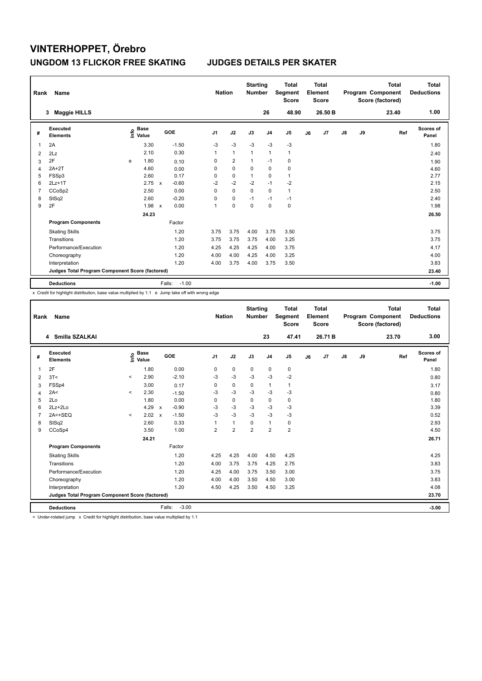| Rank | Name                                            |   |                                  |                           |                   | <b>Nation</b> |                | <b>Starting</b><br><b>Number</b> |                | <b>Total</b><br>Segment<br><b>Score</b> |    | <b>Total</b><br>Element<br><b>Score</b> |               |    | <b>Total</b><br>Program Component<br>Score (factored) | Total<br><b>Deductions</b> |
|------|-------------------------------------------------|---|----------------------------------|---------------------------|-------------------|---------------|----------------|----------------------------------|----------------|-----------------------------------------|----|-----------------------------------------|---------------|----|-------------------------------------------------------|----------------------------|
|      | <b>Maggie HILLS</b><br>3                        |   |                                  |                           |                   |               |                |                                  | 26             | 48.90                                   |    | 26.50 B                                 |               |    | 23.40                                                 | 1.00                       |
| #    | Executed<br><b>Elements</b>                     |   | <b>Base</b><br>e Base<br>⊆ Value |                           | GOE               | J1            | J2             | J3                               | J <sub>4</sub> | J <sub>5</sub>                          | J6 | J7                                      | $\mathsf{J}8$ | J9 | Ref                                                   | <b>Scores of</b><br>Panel  |
|      | 2A                                              |   | 3.30                             |                           | $-1.50$           | $-3$          | $-3$           | $-3$                             | $-3$           | $-3$                                    |    |                                         |               |    |                                                       | 1.80                       |
| 2    | 2Lz                                             |   | 2.10                             |                           | 0.30              | 1             | $\mathbf{1}$   | 1                                | $\overline{1}$ | $\mathbf{1}$                            |    |                                         |               |    |                                                       | 2.40                       |
| 3    | 2F                                              | e | 1.80                             |                           | 0.10              | 0             | $\overline{2}$ | $\mathbf{1}$                     | $-1$           | $\pmb{0}$                               |    |                                         |               |    |                                                       | 1.90                       |
| 4    | $2A+2T$                                         |   | 4.60                             |                           | 0.00              | 0             | $\mathbf 0$    | $\mathbf 0$                      | $\mathbf 0$    | $\pmb{0}$                               |    |                                         |               |    |                                                       | 4.60                       |
| 5    | FSSp3                                           |   | 2.60                             |                           | 0.17              | 0             | 0              | $\mathbf{1}$                     | $\Omega$       | $\mathbf{1}$                            |    |                                         |               |    |                                                       | 2.77                       |
| 6    | $2Lz+1T$                                        |   | 2.75                             | $\mathbf x$               | $-0.60$           | $-2$          | $-2$           | $-2$                             | $-1$           | $-2$                                    |    |                                         |               |    |                                                       | 2.15                       |
| 7    | CCoSp2                                          |   | 2.50                             |                           | 0.00              | 0             | $\Omega$       | $\Omega$                         | $\Omega$       | $\mathbf{1}$                            |    |                                         |               |    |                                                       | 2.50                       |
| 8    | StSq2                                           |   | 2.60                             |                           | $-0.20$           | 0             | 0              | $-1$                             | $-1$           | $-1$                                    |    |                                         |               |    |                                                       | 2.40                       |
| 9    | 2F                                              |   | 1.98                             | $\boldsymbol{\mathsf{x}}$ | 0.00              | 1             | 0              | $\mathbf 0$                      | $\mathbf 0$    | $\pmb{0}$                               |    |                                         |               |    |                                                       | 1.98                       |
|      |                                                 |   | 24.23                            |                           |                   |               |                |                                  |                |                                         |    |                                         |               |    |                                                       | 26.50                      |
|      | <b>Program Components</b>                       |   |                                  |                           | Factor            |               |                |                                  |                |                                         |    |                                         |               |    |                                                       |                            |
|      | <b>Skating Skills</b>                           |   |                                  |                           | 1.20              | 3.75          | 3.75           | 4.00                             | 3.75           | 3.50                                    |    |                                         |               |    |                                                       | 3.75                       |
|      | Transitions                                     |   |                                  |                           | 1.20              | 3.75          | 3.75           | 3.75                             | 4.00           | 3.25                                    |    |                                         |               |    |                                                       | 3.75                       |
|      | Performance/Execution                           |   |                                  |                           | 1.20              | 4.25          | 4.25           | 4.25                             | 4.00           | 3.75                                    |    |                                         |               |    |                                                       | 4.17                       |
|      | Choreography                                    |   |                                  |                           | 1.20              | 4.00          | 4.00           | 4.25                             | 4.00           | 3.25                                    |    |                                         |               |    |                                                       | 4.00                       |
|      | Interpretation                                  |   |                                  |                           | 1.20              | 4.00          | 3.75           | 4.00                             | 3.75           | 3.50                                    |    |                                         |               |    |                                                       | 3.83                       |
|      | Judges Total Program Component Score (factored) |   |                                  |                           |                   |               |                |                                  |                |                                         |    |                                         |               |    |                                                       | 23.40                      |
|      | <b>Deductions</b>                               |   |                                  |                           | Falls:<br>$-1.00$ |               |                |                                  |                |                                         |    |                                         |               |    |                                                       | $-1.00$                    |

x Credit for highlight distribution, base value multiplied by 1.1 e Jump take off with wrong edge

| Rank           | <b>Name</b>                                     |         |                                  |                           |         | <b>Nation</b>  |                | <b>Starting</b><br><b>Number</b> |                | <b>Total</b><br>Segment<br><b>Score</b> |    | <b>Total</b><br>Element<br><b>Score</b> |               |    | <b>Total</b><br>Program Component<br>Score (factored) | <b>Total</b><br><b>Deductions</b> |
|----------------|-------------------------------------------------|---------|----------------------------------|---------------------------|---------|----------------|----------------|----------------------------------|----------------|-----------------------------------------|----|-----------------------------------------|---------------|----|-------------------------------------------------------|-----------------------------------|
|                | Smilla SZALKAI<br>4                             |         |                                  |                           |         |                |                |                                  | 23             | 47.41                                   |    | 26.71 B                                 |               |    | 23.70                                                 | 3.00                              |
| #              | Executed<br><b>Elements</b>                     |         | <b>Base</b><br>e Base<br>⊆ Value |                           | GOE     | J <sub>1</sub> | J2             | J3                               | J <sub>4</sub> | J <sub>5</sub>                          | J6 | J7                                      | $\mathsf{J}8$ | J9 | Ref                                                   | Scores of<br>Panel                |
| $\mathbf 1$    | 2F                                              |         | 1.80                             |                           | 0.00    | 0              | $\mathbf 0$    | $\mathbf 0$                      | $\mathbf 0$    | $\mathbf 0$                             |    |                                         |               |    |                                                       | 1.80                              |
| 2              | 3T<                                             | $\,<\,$ | 2.90                             |                           | $-2.10$ | -3             | $-3$           | $-3$                             | $-3$           | $-2$                                    |    |                                         |               |    |                                                       | 0.80                              |
| 3              | FSSp4                                           |         | 3.00                             |                           | 0.17    | 0              | $\mathbf 0$    | 0                                | $\mathbf{1}$   | $\mathbf{1}$                            |    |                                         |               |    |                                                       | 3.17                              |
| 4              | 2A<                                             | $\prec$ | 2.30                             |                           | $-1.50$ | -3             | $-3$           | $-3$                             | $-3$           | $-3$                                    |    |                                         |               |    |                                                       | 0.80                              |
| 5              | 2Lo                                             |         | 1.80                             |                           | 0.00    | 0              | $\pmb{0}$      | $\mathbf 0$                      | $\mathbf 0$    | 0                                       |    |                                         |               |    |                                                       | 1.80                              |
| 6              | $2Lz+2Lo$                                       |         | 4.29                             | $\mathbf{x}$              | $-0.90$ | -3             | $-3$           | -3                               | $-3$           | $-3$                                    |    |                                         |               |    |                                                       | 3.39                              |
| $\overline{7}$ | $2A < +SEQ$                                     | $\prec$ | 2.02                             | $\boldsymbol{\mathsf{x}}$ | $-1.50$ | $-3$           | $-3$           | $-3$                             | $-3$           | $-3$                                    |    |                                         |               |    |                                                       | 0.52                              |
| 8              | StSq2                                           |         | 2.60                             |                           | 0.33    |                | $\mathbf{1}$   | 0                                | $\mathbf{1}$   | 0                                       |    |                                         |               |    |                                                       | 2.93                              |
| 9              | CCoSp4                                          |         | 3.50                             |                           | 1.00    | $\overline{2}$ | $\overline{2}$ | $\overline{2}$                   | $\overline{2}$ | $\overline{2}$                          |    |                                         |               |    |                                                       | 4.50                              |
|                |                                                 |         | 24.21                            |                           |         |                |                |                                  |                |                                         |    |                                         |               |    |                                                       | 26.71                             |
|                | <b>Program Components</b>                       |         |                                  |                           | Factor  |                |                |                                  |                |                                         |    |                                         |               |    |                                                       |                                   |
|                | <b>Skating Skills</b>                           |         |                                  |                           | 1.20    | 4.25           | 4.25           | 4.00                             | 4.50           | 4.25                                    |    |                                         |               |    |                                                       | 4.25                              |
|                | Transitions                                     |         |                                  |                           | 1.20    | 4.00           | 3.75           | 3.75                             | 4.25           | 2.75                                    |    |                                         |               |    |                                                       | 3.83                              |
|                | Performance/Execution                           |         |                                  |                           | 1.20    | 4.25           | 4.00           | 3.75                             | 3.50           | 3.00                                    |    |                                         |               |    |                                                       | 3.75                              |
|                | Choreography                                    |         |                                  |                           | 1.20    | 4.00           | 4.00           | 3.50                             | 4.50           | 3.00                                    |    |                                         |               |    |                                                       | 3.83                              |
|                | Interpretation                                  |         |                                  |                           | 1.20    | 4.50           | 4.25           | 3.50                             | 4.50           | 3.25                                    |    |                                         |               |    |                                                       | 4.08                              |
|                | Judges Total Program Component Score (factored) |         |                                  |                           |         |                |                |                                  |                |                                         |    |                                         |               |    |                                                       | 23.70                             |
|                | <b>Deductions</b>                               |         |                                  | Falls:                    | $-3.00$ |                |                |                                  |                |                                         |    |                                         |               |    |                                                       | $-3.00$                           |

< Under-rotated jump x Credit for highlight distribution, base value multiplied by 1.1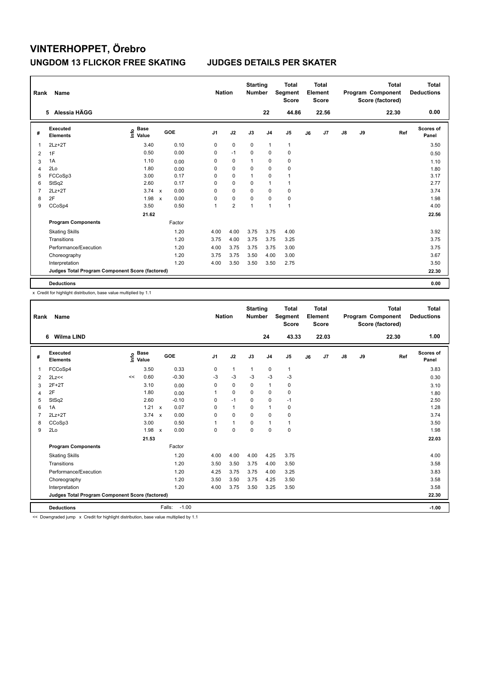| Rank           | Name                                            |                                  |                           |        |                | <b>Nation</b>  | <b>Starting</b><br><b>Number</b> |                | <b>Total</b><br>Segment<br><b>Score</b> |    | <b>Total</b><br>Element<br><b>Score</b> |    |    | <b>Total</b><br>Program Component<br>Score (factored) | <b>Total</b><br><b>Deductions</b> |
|----------------|-------------------------------------------------|----------------------------------|---------------------------|--------|----------------|----------------|----------------------------------|----------------|-----------------------------------------|----|-----------------------------------------|----|----|-------------------------------------------------------|-----------------------------------|
|                | 5 Alessia HÄGG                                  |                                  |                           |        |                |                |                                  | 22             | 44.86                                   |    | 22.56                                   |    |    | 22.30                                                 | 0.00                              |
| #              | <b>Executed</b><br><b>Elements</b>              | <b>Base</b><br>e Base<br>⊆ Value |                           | GOE    | J <sub>1</sub> | J2             | J3                               | J <sub>4</sub> | J5                                      | J6 | J7                                      | J8 | J9 | Ref                                                   | <b>Scores of</b><br>Panel         |
| 1              | $2Lz+2T$                                        | 3.40                             |                           | 0.10   | 0              | $\mathbf 0$    | $\mathbf 0$                      | $\overline{1}$ | $\mathbf{1}$                            |    |                                         |    |    |                                                       | 3.50                              |
| 2              | 1F                                              | 0.50                             |                           | 0.00   | 0              | $-1$           | 0                                | 0              | 0                                       |    |                                         |    |    |                                                       | 0.50                              |
| 3              | 1A                                              | 1.10                             |                           | 0.00   | 0              | $\mathbf 0$    | 1                                | $\mathbf 0$    | $\pmb{0}$                               |    |                                         |    |    |                                                       | 1.10                              |
| $\overline{4}$ | 2Lo                                             | 1.80                             |                           | 0.00   | 0              | $\mathbf 0$    | $\mathbf 0$                      | $\mathbf 0$    | $\pmb{0}$                               |    |                                         |    |    |                                                       | 1.80                              |
| 5              | FCCoSp3                                         | 3.00                             |                           | 0.17   | 0              | $\mathbf 0$    | 1                                | 0              | 1                                       |    |                                         |    |    |                                                       | 3.17                              |
| 6              | StSq2                                           | 2.60                             |                           | 0.17   | 0              | $\mathbf 0$    | 0                                | $\mathbf{1}$   | $\mathbf 1$                             |    |                                         |    |    |                                                       | 2.77                              |
| 7              | $2Lz+2T$                                        | 3.74                             | $\mathsf{x}$              | 0.00   | 0              | $\mathbf 0$    | $\mathbf 0$                      | $\mathbf 0$    | $\pmb{0}$                               |    |                                         |    |    |                                                       | 3.74                              |
| 8              | 2F                                              | 1.98                             | $\boldsymbol{\mathsf{x}}$ | 0.00   | 0              | $\pmb{0}$      | 0                                | 0              | 0                                       |    |                                         |    |    |                                                       | 1.98                              |
| 9              | CCoSp4                                          | 3.50                             |                           | 0.50   | 1              | $\overline{2}$ | $\overline{1}$                   | $\overline{1}$ | $\mathbf{1}$                            |    |                                         |    |    |                                                       | 4.00                              |
|                |                                                 | 21.62                            |                           |        |                |                |                                  |                |                                         |    |                                         |    |    |                                                       | 22.56                             |
|                | <b>Program Components</b>                       |                                  |                           | Factor |                |                |                                  |                |                                         |    |                                         |    |    |                                                       |                                   |
|                | <b>Skating Skills</b>                           |                                  |                           | 1.20   | 4.00           | 4.00           | 3.75                             | 3.75           | 4.00                                    |    |                                         |    |    |                                                       | 3.92                              |
|                | Transitions                                     |                                  |                           | 1.20   | 3.75           | 4.00           | 3.75                             | 3.75           | 3.25                                    |    |                                         |    |    |                                                       | 3.75                              |
|                | Performance/Execution                           |                                  |                           | 1.20   | 4.00           | 3.75           | 3.75                             | 3.75           | 3.00                                    |    |                                         |    |    |                                                       | 3.75                              |
|                | Choreography                                    |                                  |                           | 1.20   | 3.75           | 3.75           | 3.50                             | 4.00           | 3.00                                    |    |                                         |    |    |                                                       | 3.67                              |
|                | Interpretation                                  |                                  |                           | 1.20   | 4.00           | 3.50           | 3.50                             | 3.50           | 2.75                                    |    |                                         |    |    |                                                       | 3.50                              |
|                | Judges Total Program Component Score (factored) |                                  |                           |        |                |                |                                  |                |                                         |    |                                         |    |    |                                                       | 22.30                             |
|                | <b>Deductions</b>                               |                                  |                           |        |                |                |                                  |                |                                         |    |                                         |    |    |                                                       | 0.00                              |

x Credit for highlight distribution, base value multiplied by 1.1

| Rank           | <b>Name</b>                                     |    |                                  |              |         | <b>Nation</b>  |              | <b>Starting</b><br><b>Number</b> |                | <b>Total</b><br>Segment<br><b>Score</b> |    | Total<br>Element<br><b>Score</b> |               |    | <b>Total</b><br>Program Component<br>Score (factored) | Total<br><b>Deductions</b> |
|----------------|-------------------------------------------------|----|----------------------------------|--------------|---------|----------------|--------------|----------------------------------|----------------|-----------------------------------------|----|----------------------------------|---------------|----|-------------------------------------------------------|----------------------------|
|                | <b>Wilma LIND</b><br>6                          |    |                                  |              |         |                |              |                                  | 24             | 43.33                                   |    | 22.03                            |               |    | 22.30                                                 | 1.00                       |
| #              | Executed<br><b>Elements</b>                     |    | <b>Base</b><br>e Base<br>⊆ Value |              | GOE     | J <sub>1</sub> | J2           | J3                               | J <sub>4</sub> | J <sub>5</sub>                          | J6 | J7                               | $\mathsf{J}8$ | J9 | Ref                                                   | Scores of<br>Panel         |
| $\mathbf{1}$   | FCCoSp4                                         |    | 3.50                             |              | 0.33    | 0              | $\mathbf{1}$ | $\mathbf{1}$                     | $\mathbf 0$    | $\mathbf{1}$                            |    |                                  |               |    |                                                       | 3.83                       |
| 2              | 2Lz<<                                           | << | 0.60                             |              | $-0.30$ | $-3$           | $-3$         | $-3$                             | $-3$           | $-3$                                    |    |                                  |               |    |                                                       | 0.30                       |
| 3              | $2F+2T$                                         |    | 3.10                             |              | 0.00    | 0              | $\mathbf 0$  | 0                                | 1              | $\mathbf 0$                             |    |                                  |               |    |                                                       | 3.10                       |
| 4              | 2F                                              |    | 1.80                             |              | 0.00    |                | $\mathbf 0$  | $\Omega$                         | $\mathbf 0$    | $\mathbf 0$                             |    |                                  |               |    |                                                       | 1.80                       |
| 5              | StSq2                                           |    | 2.60                             |              | $-0.10$ | 0              | $-1$         | $\mathbf 0$                      | $\mathbf 0$    | $-1$                                    |    |                                  |               |    |                                                       | 2.50                       |
| 6              | 1A                                              |    | $1.21 \times$                    |              | 0.07    | $\Omega$       | $\mathbf{1}$ | $\Omega$                         | $\mathbf{1}$   | 0                                       |    |                                  |               |    |                                                       | 1.28                       |
| $\overline{7}$ | $2Lz+2T$                                        |    | 3.74                             | $\mathbf{x}$ | 0.00    | $\Omega$       | $\mathbf 0$  | $\Omega$                         | $\mathbf 0$    | $\mathbf 0$                             |    |                                  |               |    |                                                       | 3.74                       |
| 8              | CCoSp3                                          |    | 3.00                             |              | 0.50    |                | $\mathbf{1}$ | 0                                | $\mathbf{1}$   | 1                                       |    |                                  |               |    |                                                       | 3.50                       |
| 9              | 2Lo                                             |    | $1.98 \times$                    |              | 0.00    | 0              | $\mathbf 0$  | $\mathbf 0$                      | $\mathbf 0$    | $\mathbf 0$                             |    |                                  |               |    |                                                       | 1.98                       |
|                |                                                 |    | 21.53                            |              |         |                |              |                                  |                |                                         |    |                                  |               |    |                                                       | 22.03                      |
|                | <b>Program Components</b>                       |    |                                  |              | Factor  |                |              |                                  |                |                                         |    |                                  |               |    |                                                       |                            |
|                | <b>Skating Skills</b>                           |    |                                  |              | 1.20    | 4.00           | 4.00         | 4.00                             | 4.25           | 3.75                                    |    |                                  |               |    |                                                       | 4.00                       |
|                | Transitions                                     |    |                                  |              | 1.20    | 3.50           | 3.50         | 3.75                             | 4.00           | 3.50                                    |    |                                  |               |    |                                                       | 3.58                       |
|                | Performance/Execution                           |    |                                  |              | 1.20    | 4.25           | 3.75         | 3.75                             | 4.00           | 3.25                                    |    |                                  |               |    |                                                       | 3.83                       |
|                | Choreography                                    |    |                                  |              | 1.20    | 3.50           | 3.50         | 3.75                             | 4.25           | 3.50                                    |    |                                  |               |    |                                                       | 3.58                       |
|                | Interpretation                                  |    |                                  |              | 1.20    | 4.00           | 3.75         | 3.50                             | 3.25           | 3.50                                    |    |                                  |               |    |                                                       | 3.58                       |
|                | Judges Total Program Component Score (factored) |    |                                  |              |         |                |              |                                  |                |                                         |    |                                  |               |    |                                                       | 22.30                      |
|                | <b>Deductions</b>                               |    |                                  | Falls:       | $-1.00$ |                |              |                                  |                |                                         |    |                                  |               |    |                                                       | $-1.00$                    |

<< Downgraded jump x Credit for highlight distribution, base value multiplied by 1.1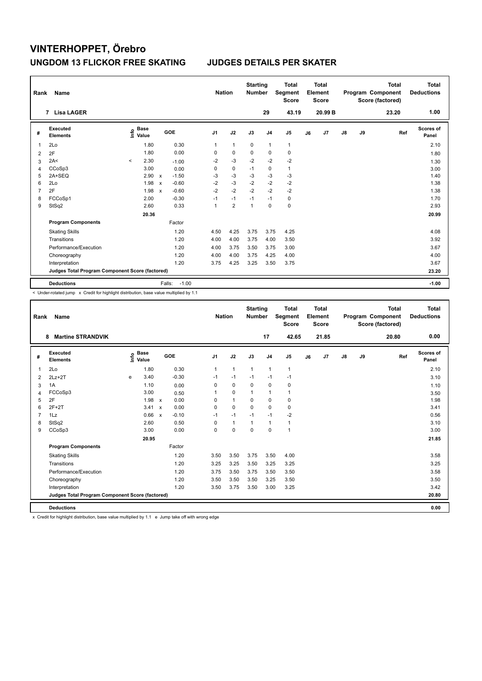| Rank           | Name                                            |                                  |                                      | <b>Nation</b>  |                | <b>Starting</b><br><b>Number</b> |                | <b>Total</b><br>Segment<br><b>Score</b> | Total<br>Element<br>Score |               |    | <b>Total</b><br>Program Component<br>Score (factored) | Total<br><b>Deductions</b> |
|----------------|-------------------------------------------------|----------------------------------|--------------------------------------|----------------|----------------|----------------------------------|----------------|-----------------------------------------|---------------------------|---------------|----|-------------------------------------------------------|----------------------------|
|                | <b>Lisa LAGER</b><br>$\overline{7}$             |                                  |                                      |                |                |                                  | 29             | 43.19                                   | 20.99 B                   |               |    | 23.20                                                 | 1.00                       |
| #              | <b>Executed</b><br><b>Elements</b>              | <b>Base</b><br>e Base<br>⊆ Value | GOE                                  | J <sub>1</sub> | J2             | J3                               | J <sub>4</sub> | J <sub>5</sub>                          | J7<br>J6                  | $\mathsf{J}8$ | J9 | Ref                                                   | <b>Scores of</b><br>Panel  |
| 1              | 2Lo                                             | 1.80                             | 0.30                                 | 1              | $\mathbf{1}$   | 0                                | $\mathbf{1}$   | $\mathbf{1}$                            |                           |               |    |                                                       | 2.10                       |
| $\overline{2}$ | 2F                                              | 1.80                             | 0.00                                 | 0              | $\mathbf 0$    | $\mathbf 0$                      | $\mathbf 0$    | $\mathbf 0$                             |                           |               |    |                                                       | 1.80                       |
| 3              | 2A<                                             | 2.30<br>$\prec$                  | $-1.00$                              | $-2$           | $-3$           | $-2$                             | $-2$           | $-2$                                    |                           |               |    |                                                       | 1.30                       |
| 4              | CCoSp3                                          | 3.00                             | 0.00                                 | 0              | $\pmb{0}$      | $-1$                             | 0              | $\mathbf{1}$                            |                           |               |    |                                                       | 3.00                       |
| 5              | 2A+SEQ                                          | 2.90                             | $-1.50$<br>$\mathbf x$               | -3             | $-3$           | $-3$                             | $-3$           | $-3$                                    |                           |               |    |                                                       | 1.40                       |
| 6              | 2Lo                                             | 1.98                             | $-0.60$<br>$\boldsymbol{\mathsf{x}}$ | $-2$           | $-3$           | $-2$                             | $-2$           | $-2$                                    |                           |               |    |                                                       | 1.38                       |
| 7              | 2F                                              | 1.98                             | $-0.60$<br>$\boldsymbol{\mathsf{x}}$ | $-2$           | $-2$           | $-2$                             | $-2$           | $-2$                                    |                           |               |    |                                                       | 1.38                       |
| 8              | FCCoSp1                                         | 2.00                             | $-0.30$                              | $-1$           | $-1$           | $-1$                             | $-1$           | $\pmb{0}$                               |                           |               |    |                                                       | 1.70                       |
| 9              | StSq2                                           | 2.60                             | 0.33                                 | 1              | $\overline{2}$ | 1                                | $\mathbf 0$    | $\pmb{0}$                               |                           |               |    |                                                       | 2.93                       |
|                |                                                 | 20.36                            |                                      |                |                |                                  |                |                                         |                           |               |    |                                                       | 20.99                      |
|                | <b>Program Components</b>                       |                                  | Factor                               |                |                |                                  |                |                                         |                           |               |    |                                                       |                            |
|                | <b>Skating Skills</b>                           |                                  | 1.20                                 | 4.50           | 4.25           | 3.75                             | 3.75           | 4.25                                    |                           |               |    |                                                       | 4.08                       |
|                | Transitions                                     |                                  | 1.20                                 | 4.00           | 4.00           | 3.75                             | 4.00           | 3.50                                    |                           |               |    |                                                       | 3.92                       |
|                | Performance/Execution                           |                                  | 1.20                                 | 4.00           | 3.75           | 3.50                             | 3.75           | 3.00                                    |                           |               |    |                                                       | 3.67                       |
|                | Choreography                                    |                                  | 1.20                                 | 4.00           | 4.00           | 3.75                             | 4.25           | 4.00                                    |                           |               |    |                                                       | 4.00                       |
|                | Interpretation                                  |                                  | 1.20                                 | 3.75           | 4.25           | 3.25                             | 3.50           | 3.75                                    |                           |               |    |                                                       | 3.67                       |
|                | Judges Total Program Component Score (factored) |                                  |                                      |                |                |                                  |                |                                         |                           |               |    |                                                       | 23.20                      |
|                | <b>Deductions</b>                               |                                  | $-1.00$<br>Falls:                    |                |                |                                  |                |                                         |                           |               |    |                                                       | $-1.00$                    |

< Under-rotated jump x Credit for highlight distribution, base value multiplied by 1.1

| Rank           | <b>Name</b>                                     |   |                                  |                           |         |                | <b>Nation</b> | <b>Starting</b><br><b>Number</b> |                | <b>Total</b><br>Segment<br><b>Score</b> |    | <b>Total</b><br>Element<br><b>Score</b> |               |    | <b>Total</b><br>Program Component<br>Score (factored) | <b>Total</b><br><b>Deductions</b> |
|----------------|-------------------------------------------------|---|----------------------------------|---------------------------|---------|----------------|---------------|----------------------------------|----------------|-----------------------------------------|----|-----------------------------------------|---------------|----|-------------------------------------------------------|-----------------------------------|
|                | <b>Martine STRANDVIK</b><br>8                   |   |                                  |                           |         |                |               |                                  | 17             | 42.65                                   |    | 21.85                                   |               |    | 20.80                                                 | 0.00                              |
| #              | Executed<br><b>Elements</b>                     |   | <b>Base</b><br>e Base<br>⊆ Value |                           | GOE     | J <sub>1</sub> | J2            | J3                               | J <sub>4</sub> | J <sub>5</sub>                          | J6 | J7                                      | $\mathsf{J}8$ | J9 | Ref                                                   | Scores of<br>Panel                |
| $\overline{1}$ | 2Lo                                             |   | 1.80                             |                           | 0.30    | 1              | $\mathbf{1}$  | $\mathbf{1}$                     | $\mathbf{1}$   | $\mathbf{1}$                            |    |                                         |               |    |                                                       | 2.10                              |
| 2              | $2Lz+2T$                                        | e | 3.40                             |                           | $-0.30$ | $-1$           | $-1$          | $-1$                             | $-1$           | $-1$                                    |    |                                         |               |    |                                                       | 3.10                              |
| 3              | 1A                                              |   | 1.10                             |                           | 0.00    | $\Omega$       | $\mathbf 0$   | $\mathbf 0$                      | $\mathbf 0$    | $\mathbf 0$                             |    |                                         |               |    |                                                       | 1.10                              |
| 4              | FCCoSp3                                         |   | 3.00                             |                           | 0.50    |                | $\mathbf 0$   | $\mathbf{1}$                     | $\mathbf{1}$   | 1                                       |    |                                         |               |    |                                                       | 3.50                              |
| 5              | 2F                                              |   | 1.98                             | $\mathsf{x}$              | 0.00    | 0              | $\mathbf{1}$  | $\mathbf 0$                      | $\mathbf 0$    | 0                                       |    |                                         |               |    |                                                       | 1.98                              |
| 6              | $2F+2T$                                         |   | 3.41                             | $\mathbf{x}$              | 0.00    | $\Omega$       | $\Omega$      | $\Omega$                         | $\Omega$       | 0                                       |    |                                         |               |    |                                                       | 3.41                              |
| $\overline{7}$ | 1Lz                                             |   | 0.66                             | $\boldsymbol{\mathsf{x}}$ | $-0.10$ | $-1$           | $-1$          | $-1$                             | $-1$           | $-2$                                    |    |                                         |               |    |                                                       | 0.56                              |
| 8              | StSq2                                           |   | 2.60                             |                           | 0.50    | 0              | $\mathbf{1}$  | $\mathbf{1}$                     | $\mathbf{1}$   | 1                                       |    |                                         |               |    |                                                       | 3.10                              |
| 9              | CCoSp3                                          |   | 3.00                             |                           | 0.00    | 0              | $\mathbf 0$   | $\Omega$                         | $\Omega$       | $\mathbf{1}$                            |    |                                         |               |    |                                                       | 3.00                              |
|                |                                                 |   | 20.95                            |                           |         |                |               |                                  |                |                                         |    |                                         |               |    |                                                       | 21.85                             |
|                | <b>Program Components</b>                       |   |                                  |                           | Factor  |                |               |                                  |                |                                         |    |                                         |               |    |                                                       |                                   |
|                | <b>Skating Skills</b>                           |   |                                  |                           | 1.20    | 3.50           | 3.50          | 3.75                             | 3.50           | 4.00                                    |    |                                         |               |    |                                                       | 3.58                              |
|                | Transitions                                     |   |                                  |                           | 1.20    | 3.25           | 3.25          | 3.50                             | 3.25           | 3.25                                    |    |                                         |               |    |                                                       | 3.25                              |
|                | Performance/Execution                           |   |                                  |                           | 1.20    | 3.75           | 3.50          | 3.75                             | 3.50           | 3.50                                    |    |                                         |               |    |                                                       | 3.58                              |
|                | Choreography                                    |   |                                  |                           | 1.20    | 3.50           | 3.50          | 3.50                             | 3.25           | 3.50                                    |    |                                         |               |    |                                                       | 3.50                              |
|                | Interpretation                                  |   |                                  |                           | 1.20    | 3.50           | 3.75          | 3.50                             | 3.00           | 3.25                                    |    |                                         |               |    |                                                       | 3.42                              |
|                | Judges Total Program Component Score (factored) |   |                                  |                           |         |                |               |                                  |                |                                         |    |                                         |               |    |                                                       | 20.80                             |
|                | <b>Deductions</b>                               |   |                                  |                           |         |                |               |                                  |                |                                         |    |                                         |               |    |                                                       | 0.00                              |

x Credit for highlight distribution, base value multiplied by 1.1 e Jump take off with wrong edge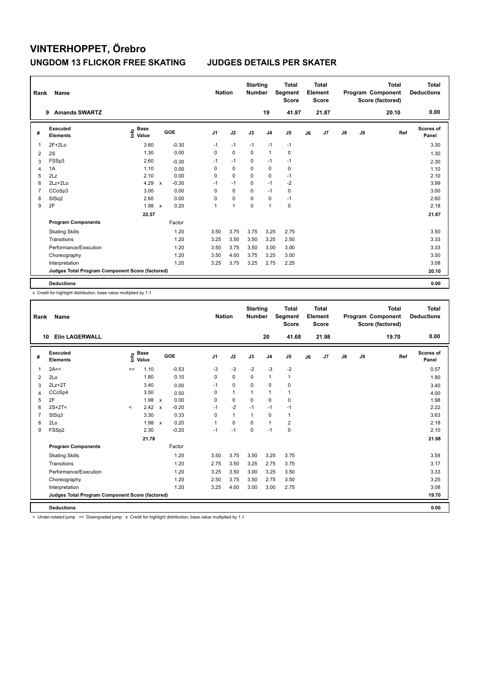| Rank           | Name                                            |                                  |              |            |      | <b>Nation</b> | <b>Starting</b><br><b>Number</b> |                | <b>Total</b><br>Segment<br><b>Score</b> |    | <b>Total</b><br>Element<br><b>Score</b> |               |    | <b>Total</b><br>Program Component<br>Score (factored) | <b>Total</b><br><b>Deductions</b> |
|----------------|-------------------------------------------------|----------------------------------|--------------|------------|------|---------------|----------------------------------|----------------|-----------------------------------------|----|-----------------------------------------|---------------|----|-------------------------------------------------------|-----------------------------------|
|                | <b>Amanda SWARTZ</b><br>9                       |                                  |              |            |      |               |                                  | 19             | 41.97                                   |    | 21.87                                   |               |    | 20.10                                                 | 0.00                              |
| #              | Executed<br><b>Elements</b>                     | <b>Base</b><br>e Base<br>⊆ Value |              | <b>GOE</b> | J1   | J2            | J3                               | J <sub>4</sub> | J <sub>5</sub>                          | J6 | J7                                      | $\mathsf{J}8$ | J9 | Ref                                                   | <b>Scores of</b><br>Panel         |
| 1              | $2F+2Lo$                                        | 3.60                             |              | $-0.30$    | $-1$ | $-1$          | $-1$                             | $-1$           | $-1$                                    |    |                                         |               |    |                                                       | 3.30                              |
| $\overline{2}$ | 2S                                              | 1.30                             |              | 0.00       | 0    | 0             | $\Omega$                         | $\overline{1}$ | 0                                       |    |                                         |               |    |                                                       | 1.30                              |
| 3              | FSSp3                                           | 2.60                             |              | $-0.30$    | $-1$ | $-1$          | $\Omega$                         | $-1$           | $-1$                                    |    |                                         |               |    |                                                       | 2.30                              |
| 4              | 1A                                              | 1.10                             |              | 0.00       | 0    | $\mathbf 0$   | $\mathbf 0$                      | $\mathbf 0$    | $\pmb{0}$                               |    |                                         |               |    |                                                       | 1.10                              |
| 5              | 2Lz                                             | 2.10                             |              | 0.00       | 0    | $\mathbf 0$   | $\Omega$                         | 0              | $-1$                                    |    |                                         |               |    |                                                       | 2.10                              |
| 6              | $2Lz + 2Lo$                                     | 4.29                             | $\mathsf{x}$ | $-0.30$    | $-1$ | $-1$          | $\Omega$                         | $-1$           | $-2$                                    |    |                                         |               |    |                                                       | 3.99                              |
| 7              | CCoSp3                                          | 3.00                             |              | 0.00       | 0    | $\mathbf 0$   | $\mathbf 0$                      | $-1$           | $\pmb{0}$                               |    |                                         |               |    |                                                       | 3.00                              |
| 8              | StSq2                                           | 2.60                             |              | 0.00       | 0    | $\pmb{0}$     | $\Omega$                         | 0              | $-1$                                    |    |                                         |               |    |                                                       | 2.60                              |
| 9              | 2F                                              | 1.98                             | $\mathsf{x}$ | 0.20       | 1    | 1             | $\mathbf 0$                      | $\overline{1}$ | $\mathbf 0$                             |    |                                         |               |    |                                                       | 2.18                              |
|                |                                                 | 22.57                            |              |            |      |               |                                  |                |                                         |    |                                         |               |    |                                                       | 21.87                             |
|                | <b>Program Components</b>                       |                                  |              | Factor     |      |               |                                  |                |                                         |    |                                         |               |    |                                                       |                                   |
|                | <b>Skating Skills</b>                           |                                  |              | 1.20       | 3.50 | 3.75          | 3.75                             | 3.25           | 2.75                                    |    |                                         |               |    |                                                       | 3.50                              |
|                | Transitions                                     |                                  |              | 1.20       | 3.25 | 3.50          | 3.50                             | 3.25           | 2.50                                    |    |                                         |               |    |                                                       | 3.33                              |
|                | Performance/Execution                           |                                  |              | 1.20       | 3.50 | 3.75          | 3.50                             | 3.00           | 3.00                                    |    |                                         |               |    |                                                       | 3.33                              |
|                | Choreography                                    |                                  |              | 1.20       | 3.50 | 4.00          | 3.75                             | 3.25           | 3.00                                    |    |                                         |               |    |                                                       | 3.50                              |
|                | Interpretation                                  |                                  |              | 1.20       | 3.25 | 3.75          | 3.25                             | 2.75           | 2.25                                    |    |                                         |               |    |                                                       | 3.08                              |
|                | Judges Total Program Component Score (factored) |                                  |              |            |      |               |                                  |                |                                         |    |                                         |               |    |                                                       | 20.10                             |
|                | <b>Deductions</b>                               |                                  |              |            |      |               |                                  |                |                                         |    |                                         |               |    |                                                       | 0.00                              |

x Credit for highlight distribution, base value multiplied by 1.1

| Rank           | Name                                            |         |                      |                           |         |                | <b>Nation</b> |             | <b>Starting</b><br><b>Number</b> | Segment        | <b>Total</b><br><b>Score</b> |    | <b>Total</b><br>Element<br><b>Score</b> |               |    | <b>Total</b><br>Program Component<br>Score (factored) | <b>Total</b><br><b>Deductions</b> |
|----------------|-------------------------------------------------|---------|----------------------|---------------------------|---------|----------------|---------------|-------------|----------------------------------|----------------|------------------------------|----|-----------------------------------------|---------------|----|-------------------------------------------------------|-----------------------------------|
| 10             | <b>Elin LAGERWALL</b>                           |         |                      |                           |         |                |               |             | 20                               |                | 41.68                        |    | 21.98                                   |               |    | 19.70                                                 | 0.00                              |
| #              | Executed<br><b>Elements</b>                     | ١nf٥    | <b>Base</b><br>Value |                           | GOE     | J <sub>1</sub> | J2            | J3          | J <sub>4</sub>                   | J <sub>5</sub> |                              | J6 | J7                                      | $\mathsf{J}8$ | J9 | Ref                                                   | Scores of<br>Panel                |
| 1              | 2A<<                                            | <<      | 1.10                 |                           | $-0.53$ | $-3$           | $-3$          | $-2$        | $-3$                             |                | $-2$                         |    |                                         |               |    |                                                       | 0.57                              |
| 2              | 2Lo                                             |         | 1.80                 |                           | 0.10    | 0              | $\mathbf 0$   | $\mathbf 0$ | $\mathbf{1}$                     | $\mathbf{1}$   |                              |    |                                         |               |    |                                                       | 1.90                              |
| 3              | $2Lz+2T$                                        |         | 3.40                 |                           | 0.00    | $-1$           | $\mathbf 0$   | $\mathbf 0$ | $\mathbf 0$                      | 0              |                              |    |                                         |               |    |                                                       | 3.40                              |
| 4              | CCoSp4                                          |         | 3.50                 |                           | 0.50    | 0              | $\mathbf{1}$  | 1           | $\mathbf{1}$                     | 1              |                              |    |                                         |               |    |                                                       | 4.00                              |
| 5              | 2F                                              |         | 1.98                 | $\mathsf{x}$              | 0.00    | 0              | $\mathbf 0$   | 0           | $\mathbf 0$                      | 0              |                              |    |                                         |               |    |                                                       | 1.98                              |
| 6              | $2S+2T<$                                        | $\prec$ | 2.42                 | $\boldsymbol{\mathsf{x}}$ | $-0.20$ | $-1$           | $-2$          | $-1$        | $-1$                             | $-1$           |                              |    |                                         |               |    |                                                       | 2.22                              |
| $\overline{7}$ | StSq3                                           |         | 3.30                 |                           | 0.33    | 0              | $\mathbf{1}$  | 1           | $\mathbf 0$                      | $\mathbf{1}$   |                              |    |                                         |               |    |                                                       | 3.63                              |
| 8              | 2Lo                                             |         | 1.98                 | $\mathbf{x}$              | 0.20    | 1              | $\mathbf 0$   | $\Omega$    | $\mathbf{1}$                     |                | $\overline{\mathbf{c}}$      |    |                                         |               |    |                                                       | 2.18                              |
| 9              | FSSp2                                           |         | 2.30                 |                           | $-0.20$ | $-1$           | $-1$          | $\mathbf 0$ | $-1$                             | $\pmb{0}$      |                              |    |                                         |               |    |                                                       | 2.10                              |
|                |                                                 |         | 21.78                |                           |         |                |               |             |                                  |                |                              |    |                                         |               |    |                                                       | 21.98                             |
|                | <b>Program Components</b>                       |         |                      |                           | Factor  |                |               |             |                                  |                |                              |    |                                         |               |    |                                                       |                                   |
|                | <b>Skating Skills</b>                           |         |                      |                           | 1.20    | 3.50           | 3.75          | 3.50        | 3.25                             |                | 3.75                         |    |                                         |               |    |                                                       | 3.58                              |
|                | Transitions                                     |         |                      |                           | 1.20    | 2.75           | 3.50          | 3.25        | 2.75                             |                | 3.75                         |    |                                         |               |    |                                                       | 3.17                              |
|                | Performance/Execution                           |         |                      |                           | 1.20    | 3.25           | 3.50          | 3.00        | 3.25                             |                | 3.50                         |    |                                         |               |    |                                                       | 3.33                              |
|                | Choreography                                    |         |                      |                           | 1.20    | 2.50           | 3.75          | 3.50        | 2.75                             |                | 3.50                         |    |                                         |               |    |                                                       | 3.25                              |
|                | Interpretation                                  |         |                      |                           | 1.20    | 3.25           | 4.00          | 3.00        | 3.00                             |                | 2.75                         |    |                                         |               |    |                                                       | 3.08                              |
|                | Judges Total Program Component Score (factored) |         |                      |                           |         |                |               |             |                                  |                |                              |    |                                         |               |    |                                                       | 19.70                             |
|                | <b>Deductions</b>                               |         |                      |                           |         |                |               |             |                                  |                |                              |    |                                         |               |    |                                                       | 0.00                              |

< Under-rotated jump << Downgraded jump x Credit for highlight distribution, base value multiplied by 1.1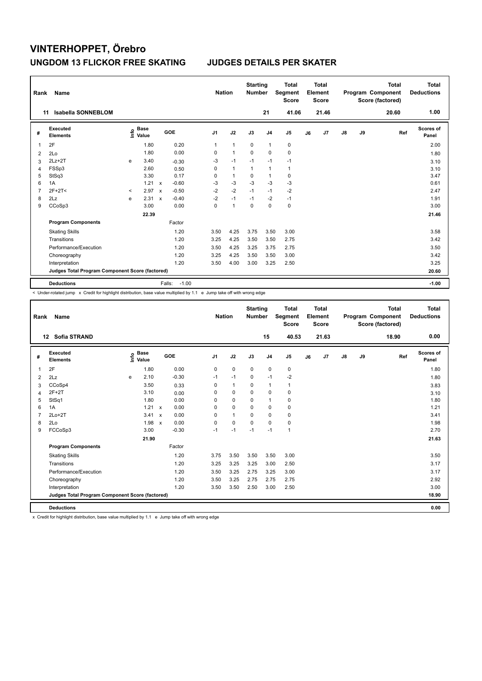| Rank           | Name                                            |         |                                  |                           |                   | <b>Nation</b>  |                | <b>Starting</b><br><b>Number</b> |                | <b>Total</b><br>Segment<br><b>Score</b> |    | <b>Total</b><br>Element<br><b>Score</b> |               |    | <b>Total</b><br>Program Component<br>Score (factored) | <b>Total</b><br><b>Deductions</b> |
|----------------|-------------------------------------------------|---------|----------------------------------|---------------------------|-------------------|----------------|----------------|----------------------------------|----------------|-----------------------------------------|----|-----------------------------------------|---------------|----|-------------------------------------------------------|-----------------------------------|
| 11             | <b>Isabella SONNEBLOM</b>                       |         |                                  |                           |                   |                |                |                                  | 21             | 41.06                                   |    | 21.46                                   |               |    | 20.60                                                 | 1.00                              |
| #              | <b>Executed</b><br><b>Elements</b>              |         | <b>Base</b><br>e Base<br>⊆ Value |                           | GOE               | J <sub>1</sub> | J2             | J3                               | J <sub>4</sub> | J <sub>5</sub>                          | J6 | J7                                      | $\mathsf{J}8$ | J9 | Ref                                                   | <b>Scores of</b><br>Panel         |
| 1              | 2F                                              |         | 1.80                             |                           | 0.20              | 1              | $\mathbf{1}$   | 0                                | $\overline{1}$ | 0                                       |    |                                         |               |    |                                                       | 2.00                              |
| $\overline{2}$ | 2Lo                                             |         | 1.80                             |                           | 0.00              | 0              | $\mathbf{1}$   | $\mathbf 0$                      | $\mathbf 0$    | $\mathbf 0$                             |    |                                         |               |    |                                                       | 1.80                              |
| 3              | $2Lz+2T$                                        | e       | 3.40                             |                           | $-0.30$           | $-3$           | $-1$           | $-1$                             | $-1$           | $-1$                                    |    |                                         |               |    |                                                       | 3.10                              |
| 4              | FSSp3                                           |         | 2.60                             |                           | 0.50              | 0              | $\mathbf{1}$   | $\mathbf{1}$                     | $\mathbf{1}$   | $\mathbf{1}$                            |    |                                         |               |    |                                                       | 3.10                              |
| 5              | StSq3                                           |         | 3.30                             |                           | 0.17              | 0              | $\mathbf{1}$   | 0                                | $\overline{1}$ | 0                                       |    |                                         |               |    |                                                       | 3.47                              |
| 6              | 1A                                              |         | 1.21                             | $\mathsf{x}$              | $-0.60$           | $-3$           | $-3$           | $-3$                             | $-3$           | $-3$                                    |    |                                         |               |    |                                                       | 0.61                              |
| 7              | $2F+2T<$                                        | $\,<\,$ | 2.97                             | $\boldsymbol{\mathsf{x}}$ | $-0.50$           | $-2$           | $-2$           | $-1$                             | $-1$           | -2                                      |    |                                         |               |    |                                                       | 2.47                              |
| 8              | 2Lz                                             | e       | 2.31                             | $\boldsymbol{\mathsf{x}}$ | $-0.40$           | $-2$           | $-1$           | $-1$                             | $-2$           | $-1$                                    |    |                                         |               |    |                                                       | 1.91                              |
| 9              | CCoSp3                                          |         | 3.00                             |                           | 0.00              | 0              | $\overline{1}$ | 0                                | $\mathbf 0$    | $\pmb{0}$                               |    |                                         |               |    |                                                       | 3.00                              |
|                |                                                 |         | 22.39                            |                           |                   |                |                |                                  |                |                                         |    |                                         |               |    |                                                       | 21.46                             |
|                | <b>Program Components</b>                       |         |                                  |                           | Factor            |                |                |                                  |                |                                         |    |                                         |               |    |                                                       |                                   |
|                | <b>Skating Skills</b>                           |         |                                  |                           | 1.20              | 3.50           | 4.25           | 3.75                             | 3.50           | 3.00                                    |    |                                         |               |    |                                                       | 3.58                              |
|                | Transitions                                     |         |                                  |                           | 1.20              | 3.25           | 4.25           | 3.50                             | 3.50           | 2.75                                    |    |                                         |               |    |                                                       | 3.42                              |
|                | Performance/Execution                           |         |                                  |                           | 1.20              | 3.50           | 4.25           | 3.25                             | 3.75           | 2.75                                    |    |                                         |               |    |                                                       | 3.50                              |
|                | Choreography                                    |         |                                  |                           | 1.20              | 3.25           | 4.25           | 3.50                             | 3.50           | 3.00                                    |    |                                         |               |    |                                                       | 3.42                              |
|                | Interpretation                                  |         |                                  |                           | 1.20              | 3.50           | 4.00           | 3.00                             | 3.25           | 2.50                                    |    |                                         |               |    |                                                       | 3.25                              |
|                | Judges Total Program Component Score (factored) |         |                                  |                           |                   |                |                |                                  |                |                                         |    |                                         |               |    |                                                       | 20.60                             |
|                | <b>Deductions</b>                               |         |                                  |                           | $-1.00$<br>Falls: |                |                |                                  |                |                                         |    |                                         |               |    |                                                       | $-1.00$                           |

-<br>< Under-rotated jump x Credit for highlight distribution, base value multiplied by 1.1 e Jump take off with wrong edge

| Rank           | <b>Name</b>                                     |   |                                  |                           |         |                | <b>Nation</b> | <b>Starting</b><br><b>Number</b> |                | <b>Total</b><br>Segment<br><b>Score</b> |    | Total<br>Element<br><b>Score</b> |               |    | <b>Total</b><br>Program Component<br>Score (factored) | Total<br><b>Deductions</b> |
|----------------|-------------------------------------------------|---|----------------------------------|---------------------------|---------|----------------|---------------|----------------------------------|----------------|-----------------------------------------|----|----------------------------------|---------------|----|-------------------------------------------------------|----------------------------|
|                | <b>Sofia STRAND</b><br>12                       |   |                                  |                           |         |                |               |                                  | 15             | 40.53                                   |    | 21.63                            |               |    | 18.90                                                 | 0.00                       |
| #              | Executed<br><b>Elements</b>                     |   | <b>Base</b><br>e Base<br>⊆ Value |                           | GOE     | J <sub>1</sub> | J2            | J3                               | J <sub>4</sub> | J <sub>5</sub>                          | J6 | J <sub>7</sub>                   | $\mathsf{J}8$ | J9 | Ref                                                   | Scores of<br>Panel         |
| $\overline{1}$ | 2F                                              |   | 1.80                             |                           | 0.00    | 0              | $\mathbf 0$   | $\mathbf 0$                      | $\mathbf 0$    | 0                                       |    |                                  |               |    |                                                       | 1.80                       |
| 2              | 2Lz                                             | e | 2.10                             |                           | $-0.30$ | $-1$           | $-1$          | 0                                | $-1$           | $-2$                                    |    |                                  |               |    |                                                       | 1.80                       |
| 3              | CCoSp4                                          |   | 3.50                             |                           | 0.33    | 0              | $\mathbf{1}$  | 0                                | 1              | 1                                       |    |                                  |               |    |                                                       | 3.83                       |
| 4              | $2F+2T$                                         |   | 3.10                             |                           | 0.00    | $\Omega$       | $\mathbf 0$   | $\Omega$                         | $\mathbf 0$    | 0                                       |    |                                  |               |    |                                                       | 3.10                       |
| 5              | StSq1                                           |   | 1.80                             |                           | 0.00    | $\Omega$       | $\mathbf 0$   | $\mathbf 0$                      | $\mathbf{1}$   | $\mathbf 0$                             |    |                                  |               |    |                                                       | 1.80                       |
| 6              | 1A                                              |   | 1.21                             | $\mathsf{x}$              | 0.00    | $\Omega$       | $\Omega$      | $\Omega$                         | $\mathbf 0$    | $\mathbf 0$                             |    |                                  |               |    |                                                       | 1.21                       |
| $\overline{7}$ | $2Lo+2T$                                        |   | 3.41                             | $\boldsymbol{\mathsf{x}}$ | 0.00    | 0              | $\mathbf{1}$  | $\Omega$                         | $\mathbf 0$    | $\mathbf 0$                             |    |                                  |               |    |                                                       | 3.41                       |
| 8              | 2Lo                                             |   | 1.98                             | $\mathbf{x}$              | 0.00    | 0              | $\mathbf 0$   | $\Omega$                         | $\mathbf 0$    | 0                                       |    |                                  |               |    |                                                       | 1.98                       |
| 9              | FCCoSp3                                         |   | 3.00                             |                           | $-0.30$ | $-1$           | $-1$          | $-1$                             | $-1$           | $\mathbf{1}$                            |    |                                  |               |    |                                                       | 2.70                       |
|                |                                                 |   | 21.90                            |                           |         |                |               |                                  |                |                                         |    |                                  |               |    |                                                       | 21.63                      |
|                | <b>Program Components</b>                       |   |                                  |                           | Factor  |                |               |                                  |                |                                         |    |                                  |               |    |                                                       |                            |
|                | <b>Skating Skills</b>                           |   |                                  |                           | 1.20    | 3.75           | 3.50          | 3.50                             | 3.50           | 3.00                                    |    |                                  |               |    |                                                       | 3.50                       |
|                | Transitions                                     |   |                                  |                           | 1.20    | 3.25           | 3.25          | 3.25                             | 3.00           | 2.50                                    |    |                                  |               |    |                                                       | 3.17                       |
|                | Performance/Execution                           |   |                                  |                           | 1.20    | 3.50           | 3.25          | 2.75                             | 3.25           | 3.00                                    |    |                                  |               |    |                                                       | 3.17                       |
|                | Choreography                                    |   |                                  |                           | 1.20    | 3.50           | 3.25          | 2.75                             | 2.75           | 2.75                                    |    |                                  |               |    |                                                       | 2.92                       |
|                | Interpretation                                  |   |                                  |                           | 1.20    | 3.50           | 3.50          | 2.50                             | 3.00           | 2.50                                    |    |                                  |               |    |                                                       | 3.00                       |
|                | Judges Total Program Component Score (factored) |   |                                  |                           |         |                |               |                                  |                |                                         |    |                                  |               |    |                                                       | 18.90                      |
|                | <b>Deductions</b>                               |   |                                  |                           |         |                |               |                                  |                |                                         |    |                                  |               |    |                                                       | 0.00                       |

x Credit for highlight distribution, base value multiplied by 1.1 e Jump take off with wrong edge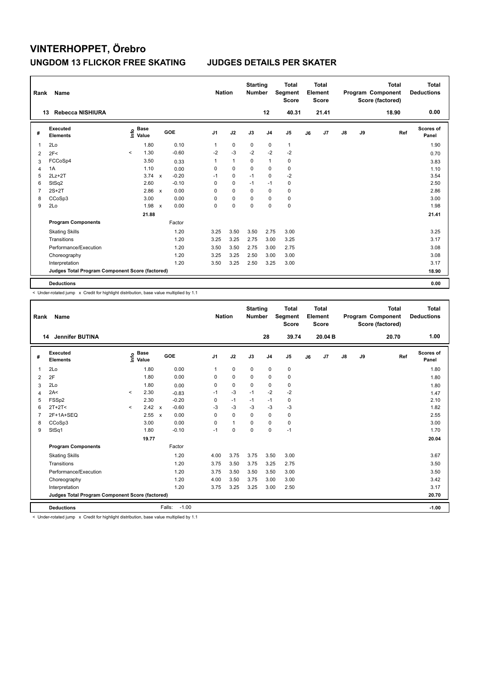| Rank           | Name                                            |                                  |              |         | <b>Nation</b>  |              | <b>Starting</b><br><b>Number</b> |                | <b>Total</b><br>Segment<br><b>Score</b> |    | <b>Total</b><br>Element<br><b>Score</b> |               |    | <b>Total</b><br>Program Component<br>Score (factored) | <b>Total</b><br><b>Deductions</b> |
|----------------|-------------------------------------------------|----------------------------------|--------------|---------|----------------|--------------|----------------------------------|----------------|-----------------------------------------|----|-----------------------------------------|---------------|----|-------------------------------------------------------|-----------------------------------|
|                | <b>Rebecca NISHIURA</b><br>13                   |                                  |              |         |                |              |                                  | 12             | 40.31                                   |    | 21.41                                   |               |    | 18.90                                                 | 0.00                              |
| #              | <b>Executed</b><br><b>Elements</b>              | <b>Base</b><br>e Base<br>⊆ Value |              | GOE     | J <sub>1</sub> | J2           | J3                               | J <sub>4</sub> | J5                                      | J6 | J7                                      | $\mathsf{J}8$ | J9 | Ref                                                   | Scores of<br>Panel                |
| 1              | 2Lo                                             | 1.80                             |              | 0.10    | 1              | $\mathbf 0$  | 0                                | 0              | $\mathbf{1}$                            |    |                                         |               |    |                                                       | 1.90                              |
| 2              | 2F<                                             | 1.30<br>$\prec$                  |              | $-0.60$ | $-2$           | $-3$         | $-2$                             | $-2$           | $-2$                                    |    |                                         |               |    |                                                       | 0.70                              |
| 3              | FCCoSp4                                         | 3.50                             |              | 0.33    | 1              | $\mathbf{1}$ | 0                                | $\mathbf{1}$   | 0                                       |    |                                         |               |    |                                                       | 3.83                              |
| $\overline{4}$ | 1A                                              | 1.10                             |              | 0.00    | 0              | $\mathbf 0$  | $\mathbf 0$                      | $\mathbf 0$    | $\pmb{0}$                               |    |                                         |               |    |                                                       | 1.10                              |
| 5              | $2Lz + 2T$                                      | 3.74                             | $\mathsf{x}$ | $-0.20$ | $-1$           | 0            | $-1$                             | 0              | $-2$                                    |    |                                         |               |    |                                                       | 3.54                              |
| 6              | StSq2                                           | 2.60                             |              | $-0.10$ | 0              | $\mathbf 0$  | $-1$                             | $-1$           | $\pmb{0}$                               |    |                                         |               |    |                                                       | 2.50                              |
| $\overline{7}$ | $2S+2T$                                         | 2.86                             | $\mathsf{x}$ | 0.00    | 0              | $\mathbf 0$  | 0                                | $\mathbf 0$    | $\pmb{0}$                               |    |                                         |               |    |                                                       | 2.86                              |
| 8              | CCoSp3                                          | 3.00                             |              | 0.00    | 0              | $\mathbf 0$  | 0                                | 0              | $\pmb{0}$                               |    |                                         |               |    |                                                       | 3.00                              |
| 9              | 2Lo                                             | 1.98                             | $\mathsf{x}$ | 0.00    | 0              | 0            | 0                                | $\mathbf 0$    | $\mathbf 0$                             |    |                                         |               |    |                                                       | 1.98                              |
|                |                                                 | 21.88                            |              |         |                |              |                                  |                |                                         |    |                                         |               |    |                                                       | 21.41                             |
|                | <b>Program Components</b>                       |                                  |              | Factor  |                |              |                                  |                |                                         |    |                                         |               |    |                                                       |                                   |
|                | <b>Skating Skills</b>                           |                                  |              | 1.20    | 3.25           | 3.50         | 3.50                             | 2.75           | 3.00                                    |    |                                         |               |    |                                                       | 3.25                              |
|                | Transitions                                     |                                  |              | 1.20    | 3.25           | 3.25         | 2.75                             | 3.00           | 3.25                                    |    |                                         |               |    |                                                       | 3.17                              |
|                | Performance/Execution                           |                                  |              | 1.20    | 3.50           | 3.50         | 2.75                             | 3.00           | 2.75                                    |    |                                         |               |    |                                                       | 3.08                              |
|                | Choreography                                    |                                  |              | 1.20    | 3.25           | 3.25         | 2.50                             | 3.00           | 3.00                                    |    |                                         |               |    |                                                       | 3.08                              |
|                | Interpretation                                  |                                  |              | 1.20    | 3.50           | 3.25         | 2.50                             | 3.25           | 3.00                                    |    |                                         |               |    |                                                       | 3.17                              |
|                | Judges Total Program Component Score (factored) |                                  |              |         |                |              |                                  |                |                                         |    |                                         |               |    |                                                       | 18.90                             |
|                | <b>Deductions</b>                               |                                  |              |         |                |              |                                  |                |                                         |    |                                         |               |    |                                                       | 0.00                              |

< Under-rotated jump x Credit for highlight distribution, base value multiplied by 1.1

| Rank           | <b>Name</b>                                     |         |                                    |                           |         | <b>Nation</b>  |                | <b>Starting</b><br><b>Number</b> |                | <b>Total</b><br>Segment<br><b>Score</b> |    | <b>Total</b><br>Element<br><b>Score</b> |               |    | <b>Total</b><br>Program Component<br>Score (factored) | Total<br><b>Deductions</b> |
|----------------|-------------------------------------------------|---------|------------------------------------|---------------------------|---------|----------------|----------------|----------------------------------|----------------|-----------------------------------------|----|-----------------------------------------|---------------|----|-------------------------------------------------------|----------------------------|
|                | <b>Jennifer BUTINA</b><br>14                    |         |                                    |                           |         |                |                |                                  | 28             | 39.74                                   |    | 20.04 <sub>B</sub>                      |               |    | 20.70                                                 | 1.00                       |
| #              | <b>Executed</b><br><b>Elements</b>              |         | <b>Base</b><br>$\frac{6}{5}$ Value |                           | GOE     | J <sub>1</sub> | J2             | J3                               | J <sub>4</sub> | J <sub>5</sub>                          | J6 | J <sub>7</sub>                          | $\mathsf{J}8$ | J9 | Ref                                                   | <b>Scores of</b><br>Panel  |
| $\overline{1}$ | 2Lo                                             |         | 1.80                               |                           | 0.00    | $\mathbf{1}$   | $\mathbf 0$    | $\mathbf 0$                      | $\mathbf 0$    | 0                                       |    |                                         |               |    |                                                       | 1.80                       |
| 2              | 2F                                              |         | 1.80                               |                           | 0.00    | $\Omega$       | $\mathbf 0$    | $\mathbf 0$                      | $\mathbf 0$    | $\mathbf 0$                             |    |                                         |               |    |                                                       | 1.80                       |
| 3              | 2Lo                                             |         | 1.80                               |                           | 0.00    | 0              | $\mathbf 0$    | 0                                | $\mathbf 0$    | $\mathbf 0$                             |    |                                         |               |    |                                                       | 1.80                       |
| $\overline{4}$ | 2A<                                             | $\prec$ | 2.30                               |                           | $-0.83$ | $-1$           | $-3$           | $-1$                             | $-2$           | $-2$                                    |    |                                         |               |    |                                                       | 1.47                       |
| 5              | FSSp2                                           |         | 2.30                               |                           | $-0.20$ | 0              | $-1$           | $-1$                             | $-1$           | 0                                       |    |                                         |               |    |                                                       | 2.10                       |
| 6              | $2T+2T<$                                        | $\prec$ | 2.42                               | $\mathbf{x}$              | $-0.60$ | $-3$           | $-3$           | $-3$                             | $-3$           | $-3$                                    |    |                                         |               |    |                                                       | 1.82                       |
| $\overline{7}$ | 2F+1A+SEQ                                       |         | 2.55                               | $\boldsymbol{\mathsf{x}}$ | 0.00    | 0              | $\mathbf 0$    | $\mathbf 0$                      | $\mathbf 0$    | 0                                       |    |                                         |               |    |                                                       | 2.55                       |
| 8              | CCoSp3                                          |         | 3.00                               |                           | 0.00    | 0              | $\overline{1}$ | 0                                | $\mathbf 0$    | $\mathbf 0$                             |    |                                         |               |    |                                                       | 3.00                       |
| 9              | StSq1                                           |         | 1.80                               |                           | $-0.10$ | $-1$           | $\Omega$       | $\Omega$                         | $\Omega$       | $-1$                                    |    |                                         |               |    |                                                       | 1.70                       |
|                |                                                 |         | 19.77                              |                           |         |                |                |                                  |                |                                         |    |                                         |               |    |                                                       | 20.04                      |
|                | <b>Program Components</b>                       |         |                                    |                           | Factor  |                |                |                                  |                |                                         |    |                                         |               |    |                                                       |                            |
|                | <b>Skating Skills</b>                           |         |                                    |                           | 1.20    | 4.00           | 3.75           | 3.75                             | 3.50           | 3.00                                    |    |                                         |               |    |                                                       | 3.67                       |
|                | Transitions                                     |         |                                    |                           | 1.20    | 3.75           | 3.50           | 3.75                             | 3.25           | 2.75                                    |    |                                         |               |    |                                                       | 3.50                       |
|                | Performance/Execution                           |         |                                    |                           | 1.20    | 3.75           | 3.50           | 3.50                             | 3.50           | 3.00                                    |    |                                         |               |    |                                                       | 3.50                       |
|                | Choreography                                    |         |                                    |                           | 1.20    | 4.00           | 3.50           | 3.75                             | 3.00           | 3.00                                    |    |                                         |               |    |                                                       | 3.42                       |
|                | Interpretation                                  |         |                                    |                           | 1.20    | 3.75           | 3.25           | 3.25                             | 3.00           | 2.50                                    |    |                                         |               |    |                                                       | 3.17                       |
|                | Judges Total Program Component Score (factored) |         |                                    |                           |         |                |                |                                  |                |                                         |    |                                         |               |    |                                                       | 20.70                      |
|                | <b>Deductions</b>                               |         |                                    | Falls:                    | $-1.00$ |                |                |                                  |                |                                         |    |                                         |               |    |                                                       | $-1.00$                    |

< Under-rotated jump x Credit for highlight distribution, base value multiplied by 1.1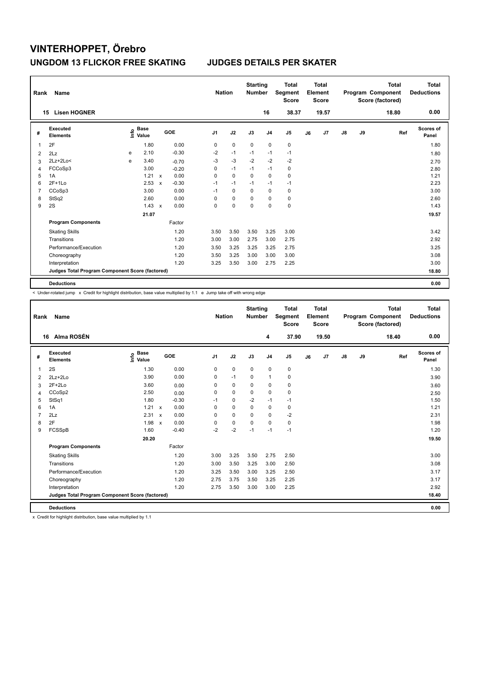| Rank | Name                                            |   |                                  |                           |         |                | <b>Nation</b> |      | <b>Starting</b><br><b>Number</b> |                | <b>Total</b><br>Segment<br><b>Score</b> |    | <b>Total</b><br>Element<br><b>Score</b> |    |    | <b>Total</b><br>Program Component<br>Score (factored) | <b>Total</b><br><b>Deductions</b> |
|------|-------------------------------------------------|---|----------------------------------|---------------------------|---------|----------------|---------------|------|----------------------------------|----------------|-----------------------------------------|----|-----------------------------------------|----|----|-------------------------------------------------------|-----------------------------------|
|      | <b>Lisen HOGNER</b><br>15                       |   |                                  |                           |         |                |               |      |                                  | 16             | 38.37                                   |    | 19.57                                   |    |    | 18.80                                                 | 0.00                              |
| #    | Executed<br><b>Elements</b>                     |   | <b>Base</b><br>e Base<br>⊆ Value |                           | GOE     | J <sub>1</sub> | J2            |      | J3                               | J <sub>4</sub> | J5                                      | J6 | J7                                      | J8 | J9 | Ref                                                   | <b>Scores of</b><br>Panel         |
| 1    | 2F                                              |   | 1.80                             |                           | 0.00    | 0              | $\mathbf 0$   |      | $\mathbf 0$                      | $\mathbf 0$    | $\pmb{0}$                               |    |                                         |    |    |                                                       | 1.80                              |
| 2    | 2Lz                                             | e | 2.10                             |                           | $-0.30$ | $-2$           | $-1$          |      | $-1$                             | $-1$           | $-1$                                    |    |                                         |    |    |                                                       | 1.80                              |
| 3    | $2Lz+2Lo<$                                      | e | 3.40                             |                           | $-0.70$ | $-3$           | $-3$          |      | $-2$                             | $-2$           | $-2$                                    |    |                                         |    |    |                                                       | 2.70                              |
| 4    | FCCoSp3                                         |   | 3.00                             |                           | $-0.20$ | 0              | $-1$          |      | $-1$                             | $-1$           | $\pmb{0}$                               |    |                                         |    |    |                                                       | 2.80                              |
| 5    | 1A                                              |   | 1.21                             | $\boldsymbol{\mathsf{x}}$ | 0.00    | 0              | $\mathbf 0$   |      | $\Omega$                         | $\mathbf 0$    | $\pmb{0}$                               |    |                                         |    |    |                                                       | 1.21                              |
| 6    | $2F+1Lo$                                        |   | 2.53                             | $\boldsymbol{\mathsf{x}}$ | $-0.30$ | $-1$           | $-1$          |      | $-1$                             | $-1$           | $-1$                                    |    |                                         |    |    |                                                       | 2.23                              |
| 7    | CCoSp3                                          |   | 3.00                             |                           | 0.00    | $-1$           | $\mathbf 0$   |      | $\mathbf 0$                      | $\mathbf 0$    | $\pmb{0}$                               |    |                                         |    |    |                                                       | 3.00                              |
| 8    | StSq2                                           |   | 2.60                             |                           | 0.00    | 0              | $\mathbf 0$   |      | 0                                | 0              | 0                                       |    |                                         |    |    |                                                       | 2.60                              |
| 9    | 2S                                              |   | 1.43                             | $\mathsf{x}$              | 0.00    | 0              | 0             |      | 0                                | $\mathbf 0$    | $\pmb{0}$                               |    |                                         |    |    |                                                       | 1.43                              |
|      |                                                 |   | 21.07                            |                           |         |                |               |      |                                  |                |                                         |    |                                         |    |    |                                                       | 19.57                             |
|      | <b>Program Components</b>                       |   |                                  |                           | Factor  |                |               |      |                                  |                |                                         |    |                                         |    |    |                                                       |                                   |
|      | <b>Skating Skills</b>                           |   |                                  |                           | 1.20    | 3.50           |               | 3.50 | 3.50                             | 3.25           | 3.00                                    |    |                                         |    |    |                                                       | 3.42                              |
|      | Transitions                                     |   |                                  |                           | 1.20    | 3.00           |               | 3.00 | 2.75                             | 3.00           | 2.75                                    |    |                                         |    |    |                                                       | 2.92                              |
|      | Performance/Execution                           |   |                                  |                           | 1.20    | 3.50           | 3.25          |      | 3.25                             | 3.25           | 2.75                                    |    |                                         |    |    |                                                       | 3.25                              |
|      | Choreography                                    |   |                                  |                           | 1.20    | 3.50           |               | 3.25 | 3.00                             | 3.00           | 3.00                                    |    |                                         |    |    |                                                       | 3.08                              |
|      | Interpretation                                  |   |                                  |                           | 1.20    | 3.25           | 3.50          |      | 3.00                             | 2.75           | 2.25                                    |    |                                         |    |    |                                                       | 3.00                              |
|      | Judges Total Program Component Score (factored) |   |                                  |                           |         |                |               |      |                                  |                |                                         |    |                                         |    |    |                                                       | 18.80                             |
|      | <b>Deductions</b>                               |   |                                  |                           |         |                |               |      |                                  |                |                                         |    |                                         |    |    |                                                       | 0.00                              |

 $\leq$  Under-rotated jump  $\geq$  Credit for highlight distribution, base value multiplied by 1.1 e Jump take off with wrong edge

| Rank           | Name                                            |                              |              |         |                | <b>Nation</b> | <b>Starting</b><br><b>Number</b> |                | <b>Total</b><br>Segment<br><b>Score</b> |    | <b>Total</b><br>Element<br><b>Score</b> |               |    | <b>Total</b><br>Program Component<br>Score (factored) | <b>Total</b><br><b>Deductions</b> |
|----------------|-------------------------------------------------|------------------------------|--------------|---------|----------------|---------------|----------------------------------|----------------|-----------------------------------------|----|-----------------------------------------|---------------|----|-------------------------------------------------------|-----------------------------------|
|                | Alma ROSÉN<br>16                                |                              |              |         |                |               |                                  | 4              | 37.90                                   |    | 19.50                                   |               |    | 18.40                                                 | 0.00                              |
| #              | Executed<br><b>Elements</b>                     | <b>Base</b><br>lnfo<br>Value |              | GOE     | J <sub>1</sub> | J2            | J3                               | J <sub>4</sub> | J <sub>5</sub>                          | J6 | J7                                      | $\mathsf{J}8$ | J9 | Ref                                                   | Scores of<br>Panel                |
| 1              | 2S                                              | 1.30                         |              | 0.00    | 0              | $\mathbf 0$   | $\mathbf 0$                      | $\mathbf 0$    | 0                                       |    |                                         |               |    |                                                       | 1.30                              |
| 2              | $2Lz+2Lo$                                       | 3.90                         |              | 0.00    | 0              | $-1$          | 0                                | $\mathbf{1}$   | 0                                       |    |                                         |               |    |                                                       | 3.90                              |
| 3              | $2F+2Lo$                                        | 3.60                         |              | 0.00    | 0              | $\mathbf 0$   | $\mathbf 0$                      | $\mathbf 0$    | $\pmb{0}$                               |    |                                         |               |    |                                                       | 3.60                              |
| 4              | CCoSp2                                          | 2.50                         |              | 0.00    | 0              | 0             | 0                                | 0              | 0                                       |    |                                         |               |    |                                                       | 2.50                              |
| 5              | StSq1                                           | 1.80                         |              | $-0.30$ | $-1$           | 0             | $-2$                             | $-1$           | $-1$                                    |    |                                         |               |    |                                                       | 1.50                              |
| 6              | 1A                                              | 1.21                         | $\mathsf{x}$ | 0.00    | $\Omega$       | $\Omega$      | $\Omega$                         | $\mathbf 0$    | $\mathbf 0$                             |    |                                         |               |    |                                                       | 1.21                              |
| $\overline{7}$ | 2Lz                                             | 2.31                         | $\mathsf{x}$ | 0.00    | 0              | $\mathbf 0$   | $\Omega$                         | $\mathbf 0$    | $-2$                                    |    |                                         |               |    |                                                       | 2.31                              |
| 8              | 2F                                              | 1.98                         | $\mathbf{x}$ | 0.00    | $\mathbf 0$    | $\pmb{0}$     | $\mathbf 0$                      | $\Omega$       | $\pmb{0}$                               |    |                                         |               |    |                                                       | 1.98                              |
| 9              | FCSSpB                                          | 1.60                         |              | $-0.40$ | $-2$           | $-2$          | $-1$                             | $-1$           | $-1$                                    |    |                                         |               |    |                                                       | 1.20                              |
|                |                                                 | 20.20                        |              |         |                |               |                                  |                |                                         |    |                                         |               |    |                                                       | 19.50                             |
|                | <b>Program Components</b>                       |                              |              | Factor  |                |               |                                  |                |                                         |    |                                         |               |    |                                                       |                                   |
|                | <b>Skating Skills</b>                           |                              |              | 1.20    | 3.00           | 3.25          | 3.50                             | 2.75           | 2.50                                    |    |                                         |               |    |                                                       | 3.00                              |
|                | Transitions                                     |                              |              | 1.20    | 3.00           | 3.50          | 3.25                             | 3.00           | 2.50                                    |    |                                         |               |    |                                                       | 3.08                              |
|                | Performance/Execution                           |                              |              | 1.20    | 3.25           | 3.50          | 3.00                             | 3.25           | 2.50                                    |    |                                         |               |    |                                                       | 3.17                              |
|                | Choreography                                    |                              |              | 1.20    | 2.75           | 3.75          | 3.50                             | 3.25           | 2.25                                    |    |                                         |               |    |                                                       | 3.17                              |
|                | Interpretation                                  |                              |              | 1.20    | 2.75           | 3.50          | 3.00                             | 3.00           | 2.25                                    |    |                                         |               |    |                                                       | 2.92                              |
|                | Judges Total Program Component Score (factored) |                              |              |         |                |               |                                  |                |                                         |    |                                         |               |    |                                                       | 18.40                             |
|                | <b>Deductions</b>                               |                              |              |         |                |               |                                  |                |                                         |    |                                         |               |    |                                                       | 0.00                              |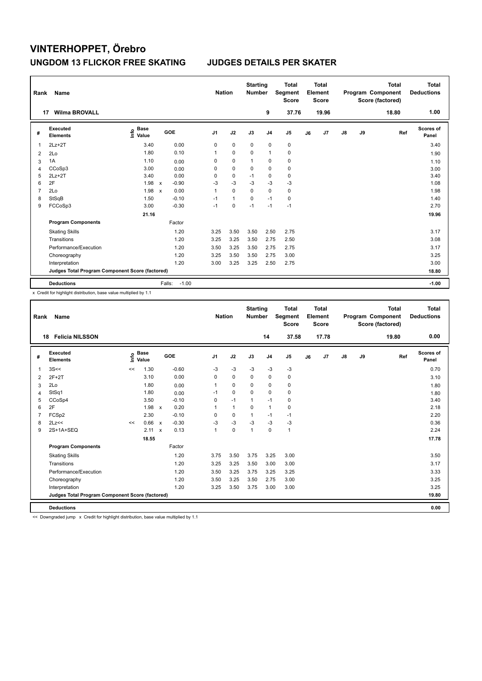| Rank           | Name                                            |                                  |                           |                   | <b>Nation</b>  |              | <b>Starting</b><br><b>Number</b> |                | <b>Total</b><br>Segment<br><b>Score</b> |    | <b>Total</b><br>Element<br>Score |               |    | <b>Total</b><br>Program Component<br>Score (factored) | <b>Total</b><br><b>Deductions</b> |
|----------------|-------------------------------------------------|----------------------------------|---------------------------|-------------------|----------------|--------------|----------------------------------|----------------|-----------------------------------------|----|----------------------------------|---------------|----|-------------------------------------------------------|-----------------------------------|
| 17             | <b>Wilma BROVALL</b>                            |                                  |                           |                   |                |              |                                  | 9              | 37.76                                   |    | 19.96                            |               |    | 18.80                                                 | 1.00                              |
| #              | <b>Executed</b><br><b>Elements</b>              | <b>Base</b><br>e Base<br>⊆ Value |                           | GOE               | J <sub>1</sub> | J2           | J3                               | J <sub>4</sub> | J <sub>5</sub>                          | J6 | J7                               | $\mathsf{J}8$ | J9 | Ref                                                   | <b>Scores of</b><br>Panel         |
| 1              | $2Lz+2T$                                        | 3.40                             |                           | 0.00              | 0              | $\mathbf 0$  | 0                                | $\pmb{0}$      | 0                                       |    |                                  |               |    |                                                       | 3.40                              |
| 2              | 2Lo                                             | 1.80                             |                           | 0.10              | 1              | $\mathbf 0$  | $\mathbf 0$                      | $\mathbf{1}$   | $\pmb{0}$                               |    |                                  |               |    |                                                       | 1.90                              |
| 3              | 1A                                              | 1.10                             |                           | 0.00              | 0              | $\mathbf 0$  | 1                                | 0              | $\pmb{0}$                               |    |                                  |               |    |                                                       | 1.10                              |
| 4              | CCoSp3                                          | 3.00                             |                           | 0.00              | 0              | $\mathbf 0$  | $\mathbf 0$                      | $\mathbf 0$    | $\pmb{0}$                               |    |                                  |               |    |                                                       | 3.00                              |
| 5              | $2Lz+2T$                                        | 3.40                             |                           | 0.00              | 0              | $\mathbf 0$  | $-1$                             | 0              | $\pmb{0}$                               |    |                                  |               |    |                                                       | 3.40                              |
| 6              | 2F                                              | 1.98                             | $\mathsf{x}$              | $-0.90$           | $-3$           | $-3$         | $-3$                             | $-3$           | $-3$                                    |    |                                  |               |    |                                                       | 1.08                              |
| $\overline{7}$ | 2Lo                                             | 1.98                             | $\boldsymbol{\mathsf{x}}$ | 0.00              | 1              | $\mathbf 0$  | 0                                | 0              | 0                                       |    |                                  |               |    |                                                       | 1.98                              |
| 8              | StSqB                                           | 1.50                             |                           | $-0.10$           | $-1$           | $\mathbf{1}$ | $\Omega$                         | $-1$           | $\mathbf 0$                             |    |                                  |               |    |                                                       | 1.40                              |
| 9              | FCCoSp3                                         | 3.00                             |                           | $-0.30$           | $-1$           | 0            | $-1$                             | $-1$           | $-1$                                    |    |                                  |               |    |                                                       | 2.70                              |
|                |                                                 | 21.16                            |                           |                   |                |              |                                  |                |                                         |    |                                  |               |    |                                                       | 19.96                             |
|                | <b>Program Components</b>                       |                                  |                           | Factor            |                |              |                                  |                |                                         |    |                                  |               |    |                                                       |                                   |
|                | <b>Skating Skills</b>                           |                                  |                           | 1.20              | 3.25           | 3.50         | 3.50                             | 2.50           | 2.75                                    |    |                                  |               |    |                                                       | 3.17                              |
|                | Transitions                                     |                                  |                           | 1.20              | 3.25           | 3.25         | 3.50                             | 2.75           | 2.50                                    |    |                                  |               |    |                                                       | 3.08                              |
|                | Performance/Execution                           |                                  |                           | 1.20              | 3.50           | 3.25         | 3.50                             | 2.75           | 2.75                                    |    |                                  |               |    |                                                       | 3.17                              |
|                | Choreography                                    |                                  |                           | 1.20              | 3.25           | 3.50         | 3.50                             | 2.75           | 3.00                                    |    |                                  |               |    |                                                       | 3.25                              |
|                | Interpretation                                  |                                  |                           | 1.20              | 3.00           | 3.25         | 3.25                             | 2.50           | 2.75                                    |    |                                  |               |    |                                                       | 3.00                              |
|                | Judges Total Program Component Score (factored) |                                  |                           |                   |                |              |                                  |                |                                         |    |                                  |               |    |                                                       | 18.80                             |
|                | <b>Deductions</b>                               |                                  |                           | $-1.00$<br>Falls: |                |              |                                  |                |                                         |    |                                  |               |    |                                                       | $-1.00$                           |

x Credit for highlight distribution, base value multiplied by 1.1

| Rank           | Name                                            |      |                      |                           |         | <b>Nation</b>  |              | <b>Starting</b><br><b>Number</b> |                | <b>Total</b><br>Segment<br><b>Score</b> |    | Total<br>Element<br><b>Score</b> |               |    | Total<br>Program Component<br>Score (factored) | Total<br><b>Deductions</b> |
|----------------|-------------------------------------------------|------|----------------------|---------------------------|---------|----------------|--------------|----------------------------------|----------------|-----------------------------------------|----|----------------------------------|---------------|----|------------------------------------------------|----------------------------|
| 18             | <b>Felicia NILSSON</b>                          |      |                      |                           |         |                |              |                                  | 14             | 37.58                                   |    | 17.78                            |               |    | 19.80                                          | 0.00                       |
| #              | Executed<br><b>Elements</b>                     | ١nf٥ | <b>Base</b><br>Value | GOE                       |         | J <sub>1</sub> | J2           | J3                               | J <sub>4</sub> | J5                                      | J6 | J7                               | $\mathsf{J}8$ | J9 | Ref                                            | Scores of<br>Panel         |
| $\mathbf{1}$   | 3S <                                            | <<   | 1.30                 |                           | $-0.60$ | $-3$           | $-3$         | $-3$                             | $-3$           | $-3$                                    |    |                                  |               |    |                                                | 0.70                       |
| 2              | $2F+2T$                                         |      | 3.10                 |                           | 0.00    | 0              | $\mathbf 0$  | $\mathbf 0$                      | 0              | 0                                       |    |                                  |               |    |                                                | 3.10                       |
| 3              | 2Lo                                             |      | 1.80                 |                           | 0.00    | $\overline{1}$ | $\mathbf 0$  | 0                                | 0              | 0                                       |    |                                  |               |    |                                                | 1.80                       |
| 4              | StSq1                                           |      | 1.80                 |                           | 0.00    | $-1$           | $\Omega$     | $\Omega$                         | $\Omega$       | 0                                       |    |                                  |               |    |                                                | 1.80                       |
| 5              | CCoSp4                                          |      | 3.50                 |                           | $-0.10$ | 0              | $-1$         | 1                                | $-1$           | 0                                       |    |                                  |               |    |                                                | 3.40                       |
| 6              | 2F                                              |      | 1.98                 | $\mathsf{x}$              | 0.20    |                | $\mathbf{1}$ | $\Omega$                         | $\mathbf{1}$   | 0                                       |    |                                  |               |    |                                                | 2.18                       |
| $\overline{7}$ | FCSp2                                           |      | 2.30                 |                           | $-0.10$ | $\Omega$       | 0            | $\mathbf 1$                      | $-1$           | $-1$                                    |    |                                  |               |    |                                                | 2.20                       |
| 8              | 2Lz<<                                           | <<   | 0.66                 | $\boldsymbol{\mathsf{x}}$ | $-0.30$ | $-3$           | $-3$         | $-3$                             | $-3$           | $-3$                                    |    |                                  |               |    |                                                | 0.36                       |
| 9              | 2S+1A+SEQ                                       |      | 2.11                 | $\boldsymbol{\mathsf{x}}$ | 0.13    | -1             | $\mathbf 0$  | 1                                | 0              | $\mathbf{1}$                            |    |                                  |               |    |                                                | 2.24                       |
|                |                                                 |      | 18.55                |                           |         |                |              |                                  |                |                                         |    |                                  |               |    |                                                | 17.78                      |
|                | <b>Program Components</b>                       |      |                      |                           | Factor  |                |              |                                  |                |                                         |    |                                  |               |    |                                                |                            |
|                | <b>Skating Skills</b>                           |      |                      |                           | 1.20    | 3.75           | 3.50         | 3.75                             | 3.25           | 3.00                                    |    |                                  |               |    |                                                | 3.50                       |
|                | Transitions                                     |      |                      |                           | 1.20    | 3.25           | 3.25         | 3.50                             | 3.00           | 3.00                                    |    |                                  |               |    |                                                | 3.17                       |
|                | Performance/Execution                           |      |                      |                           | 1.20    | 3.50           | 3.25         | 3.75                             | 3.25           | 3.25                                    |    |                                  |               |    |                                                | 3.33                       |
|                | Choreography                                    |      |                      |                           | 1.20    | 3.50           | 3.25         | 3.50                             | 2.75           | 3.00                                    |    |                                  |               |    |                                                | 3.25                       |
|                | Interpretation                                  |      |                      |                           | 1.20    | 3.25           | 3.50         | 3.75                             | 3.00           | 3.00                                    |    |                                  |               |    |                                                | 3.25                       |
|                | Judges Total Program Component Score (factored) |      |                      |                           |         |                |              |                                  |                |                                         |    |                                  |               |    |                                                | 19.80                      |
|                | <b>Deductions</b>                               |      |                      |                           |         |                |              |                                  |                |                                         |    |                                  |               |    |                                                | 0.00                       |

<< Downgraded jump x Credit for highlight distribution, base value multiplied by 1.1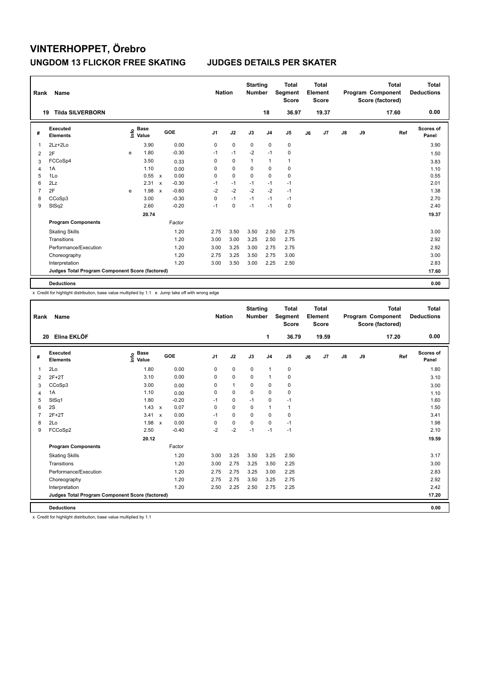| Rank | Name                                            |   |                                  |                           |            |                | <b>Nation</b> | <b>Starting</b><br><b>Number</b> |                | Total<br>Segment<br><b>Score</b> |    | <b>Total</b><br>Element<br>Score |               |    | <b>Total</b><br>Program Component<br>Score (factored) | Total<br><b>Deductions</b> |
|------|-------------------------------------------------|---|----------------------------------|---------------------------|------------|----------------|---------------|----------------------------------|----------------|----------------------------------|----|----------------------------------|---------------|----|-------------------------------------------------------|----------------------------|
|      | <b>Tilda SILVERBORN</b><br>19                   |   |                                  |                           |            |                |               |                                  | 18             | 36.97                            |    | 19.37                            |               |    | 17.60                                                 | 0.00                       |
| #    | <b>Executed</b><br><b>Elements</b>              |   | <b>Base</b><br>e Base<br>⊆ Value |                           | <b>GOE</b> | J <sub>1</sub> | J2            | J3                               | J <sub>4</sub> | J5                               | J6 | J7                               | $\mathsf{J}8$ | J9 | Ref                                                   | <b>Scores of</b><br>Panel  |
| 1    | $2Lz+2Lo$                                       |   | 3.90                             |                           | 0.00       | 0              | $\mathbf 0$   | 0                                | 0              | $\pmb{0}$                        |    |                                  |               |    |                                                       | 3.90                       |
| 2    | 2F                                              | e | 1.80                             |                           | $-0.30$    | $-1$           | $-1$          | $-2$                             | $-1$           | $\mathbf 0$                      |    |                                  |               |    |                                                       | 1.50                       |
| 3    | FCCoSp4                                         |   | 3.50                             |                           | 0.33       | 0              | 0             | $\mathbf{1}$                     | $\mathbf{1}$   | $\mathbf{1}$                     |    |                                  |               |    |                                                       | 3.83                       |
| 4    | 1A                                              |   | 1.10                             |                           | 0.00       | 0              | $\mathbf 0$   | $\mathbf 0$                      | $\mathbf 0$    | $\pmb{0}$                        |    |                                  |               |    |                                                       | 1.10                       |
| 5    | 1Lo                                             |   | 0.55                             | $\mathsf{x}$              | 0.00       | 0              | $\mathbf 0$   | $\Omega$                         | $\mathbf 0$    | $\mathbf 0$                      |    |                                  |               |    |                                                       | 0.55                       |
| 6    | 2Lz                                             |   | 2.31                             | $\boldsymbol{\mathsf{x}}$ | $-0.30$    | $-1$           | $-1$          | $-1$                             | $-1$           | $-1$                             |    |                                  |               |    |                                                       | 2.01                       |
| 7    | 2F                                              | e | 1.98                             | $\mathbf x$               | $-0.60$    | $-2$           | $-2$          | $-2$                             | $-2$           | $-1$                             |    |                                  |               |    |                                                       | 1.38                       |
| 8    | CCoSp3                                          |   | 3.00                             |                           | $-0.30$    | 0              | $-1$          | $-1$                             | $-1$           | $-1$                             |    |                                  |               |    |                                                       | 2.70                       |
| 9    | StSq2                                           |   | 2.60                             |                           | $-0.20$    | $-1$           | 0             | $-1$                             | $-1$           | 0                                |    |                                  |               |    |                                                       | 2.40                       |
|      |                                                 |   | 20.74                            |                           |            |                |               |                                  |                |                                  |    |                                  |               |    |                                                       | 19.37                      |
|      | <b>Program Components</b>                       |   |                                  |                           | Factor     |                |               |                                  |                |                                  |    |                                  |               |    |                                                       |                            |
|      | <b>Skating Skills</b>                           |   |                                  |                           | 1.20       | 2.75           | 3.50          | 3.50                             | 2.50           | 2.75                             |    |                                  |               |    |                                                       | 3.00                       |
|      | Transitions                                     |   |                                  |                           | 1.20       | 3.00           | 3.00          | 3.25                             | 2.50           | 2.75                             |    |                                  |               |    |                                                       | 2.92                       |
|      | Performance/Execution                           |   |                                  |                           | 1.20       | 3.00           | 3.25          | 3.00                             | 2.75           | 2.75                             |    |                                  |               |    |                                                       | 2.92                       |
|      | Choreography                                    |   |                                  |                           | 1.20       | 2.75           | 3.25          | 3.50                             | 2.75           | 3.00                             |    |                                  |               |    |                                                       | 3.00                       |
|      | Interpretation                                  |   |                                  |                           | 1.20       | 3.00           | 3.50          | 3.00                             | 2.25           | 2.50                             |    |                                  |               |    |                                                       | 2.83                       |
|      | Judges Total Program Component Score (factored) |   |                                  |                           |            |                |               |                                  |                |                                  |    |                                  |               |    |                                                       | 17.60                      |
|      | <b>Deductions</b>                               |   |                                  |                           |            |                |               |                                  |                |                                  |    |                                  |               |    |                                                       | 0.00                       |

x Credit for highlight distribution, base value multiplied by 1.1 e Jump take off with wrong edge

| Rank           | Name                                            |                                  |                           |         |                | <b>Nation</b> | <b>Starting</b><br><b>Number</b> |                | <b>Total</b><br>Segment<br><b>Score</b> |    | Total<br>Element<br><b>Score</b> |               |    | <b>Total</b><br>Program Component<br>Score (factored) | Total<br><b>Deductions</b> |
|----------------|-------------------------------------------------|----------------------------------|---------------------------|---------|----------------|---------------|----------------------------------|----------------|-----------------------------------------|----|----------------------------------|---------------|----|-------------------------------------------------------|----------------------------|
|                | Elina EKLÖF<br>20                               |                                  |                           |         |                |               |                                  | 1              | 36.79                                   |    | 19.59                            |               |    | 17.20                                                 | 0.00                       |
| #              | Executed<br><b>Elements</b>                     | <b>Base</b><br>e Base<br>⊆ Value | GOE                       |         | J <sub>1</sub> | J2            | J3                               | J <sub>4</sub> | J <sub>5</sub>                          | J6 | J7                               | $\mathsf{J}8$ | J9 | Ref                                                   | Scores of<br>Panel         |
| 1              | 2Lo                                             | 1.80                             |                           | 0.00    | 0              | $\mathbf 0$   | $\mathbf 0$                      | $\mathbf{1}$   | 0                                       |    |                                  |               |    |                                                       | 1.80                       |
| $\overline{2}$ | $2F+2T$                                         | 3.10                             |                           | 0.00    | 0              | 0             | 0                                | $\mathbf{1}$   | 0                                       |    |                                  |               |    |                                                       | 3.10                       |
| 3              | CCoSp3                                          | 3.00                             |                           | 0.00    | 0              | $\mathbf{1}$  | 0                                | 0              | 0                                       |    |                                  |               |    |                                                       | 3.00                       |
| 4              | 1A                                              | 1.10                             |                           | 0.00    | 0              | 0             | 0                                | 0              | $\mathbf 0$                             |    |                                  |               |    |                                                       | 1.10                       |
| 5              | StSq1                                           | 1.80                             |                           | $-0.20$ | $-1$           | $\mathbf 0$   | $-1$                             | $\mathbf 0$    | $-1$                                    |    |                                  |               |    |                                                       | 1.60                       |
| 6              | 2S                                              | 1.43                             | $\mathsf{x}$              | 0.07    | $\Omega$       | $\Omega$      | $\Omega$                         | $\mathbf{1}$   | $\mathbf{1}$                            |    |                                  |               |    |                                                       | 1.50                       |
| $\overline{7}$ | $2F+2T$                                         | 3.41                             | $\boldsymbol{\mathsf{x}}$ | 0.00    | $-1$           | $\pmb{0}$     | $\mathbf 0$                      | 0              | $\pmb{0}$                               |    |                                  |               |    |                                                       | 3.41                       |
| 8              | 2Lo                                             | 1.98                             | $\mathsf{x}$              | 0.00    | $\Omega$       | $\mathbf 0$   | $\Omega$                         | 0              | $-1$                                    |    |                                  |               |    |                                                       | 1.98                       |
| 9              | FCCoSp2                                         | 2.50                             |                           | $-0.40$ | $-2$           | $-2$          | $-1$                             | $-1$           | $-1$                                    |    |                                  |               |    |                                                       | 2.10                       |
|                |                                                 | 20.12                            |                           |         |                |               |                                  |                |                                         |    |                                  |               |    |                                                       | 19.59                      |
|                | <b>Program Components</b>                       |                                  |                           | Factor  |                |               |                                  |                |                                         |    |                                  |               |    |                                                       |                            |
|                | <b>Skating Skills</b>                           |                                  |                           | 1.20    | 3.00           | 3.25          | 3.50                             | 3.25           | 2.50                                    |    |                                  |               |    |                                                       | 3.17                       |
|                | Transitions                                     |                                  |                           | 1.20    | 3.00           | 2.75          | 3.25                             | 3.50           | 2.25                                    |    |                                  |               |    |                                                       | 3.00                       |
|                | Performance/Execution                           |                                  |                           | 1.20    | 2.75           | 2.75          | 3.25                             | 3.00           | 2.25                                    |    |                                  |               |    |                                                       | 2.83                       |
|                | Choreography                                    |                                  |                           | 1.20    | 2.75           | 2.75          | 3.50                             | 3.25           | 2.75                                    |    |                                  |               |    |                                                       | 2.92                       |
|                | Interpretation                                  |                                  |                           | 1.20    | 2.50           | 2.25          | 2.50                             | 2.75           | 2.25                                    |    |                                  |               |    |                                                       | 2.42                       |
|                | Judges Total Program Component Score (factored) |                                  |                           |         |                |               |                                  |                |                                         |    |                                  |               |    |                                                       | 17.20                      |
|                | <b>Deductions</b>                               |                                  |                           |         |                |               |                                  |                |                                         |    |                                  |               |    |                                                       | 0.00                       |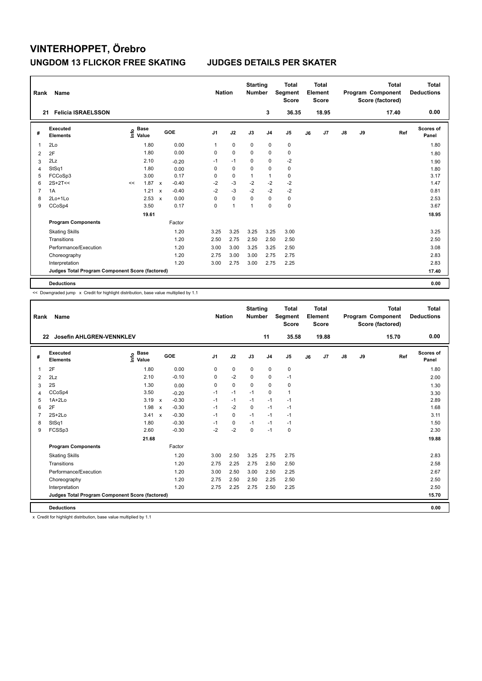| Rank | Name                                            |                                  |                           |         |                | <b>Nation</b> |             | <b>Starting</b><br><b>Number</b> |                | <b>Total</b><br>Segment<br><b>Score</b> |    | <b>Total</b><br>Element<br><b>Score</b> |               |    | <b>Total</b><br>Program Component<br>Score (factored) | <b>Total</b><br><b>Deductions</b> |
|------|-------------------------------------------------|----------------------------------|---------------------------|---------|----------------|---------------|-------------|----------------------------------|----------------|-----------------------------------------|----|-----------------------------------------|---------------|----|-------------------------------------------------------|-----------------------------------|
| 21   | <b>Felicia ISRAELSSON</b>                       |                                  |                           |         |                |               |             |                                  | 3              | 36.35                                   |    | 18.95                                   |               |    | 17.40                                                 | 0.00                              |
| #    | <b>Executed</b><br><b>Elements</b>              | <b>Base</b><br>e Base<br>⊆ Value |                           | GOE     | J <sub>1</sub> |               | J2          | J3                               | J <sub>4</sub> | J5                                      | J6 | J7                                      | $\mathsf{J}8$ | J9 | Ref                                                   | Scores of<br>Panel                |
| 1    | 2Lo                                             | 1.80                             |                           | 0.00    | 1              |               | $\mathbf 0$ | 0                                | 0              | 0                                       |    |                                         |               |    |                                                       | 1.80                              |
| 2    | 2F                                              | 1.80                             |                           | 0.00    | 0              |               | $\mathbf 0$ | $\Omega$                         | $\mathbf 0$    | $\mathbf 0$                             |    |                                         |               |    |                                                       | 1.80                              |
| 3    | 2Lz                                             | 2.10                             |                           | $-0.20$ | $-1$           |               | $-1$        | 0                                | $\mathbf 0$    | $-2$                                    |    |                                         |               |    |                                                       | 1.90                              |
| 4    | StSq1                                           | 1.80                             |                           | 0.00    | 0              |               | $\mathbf 0$ | $\mathbf 0$                      | $\mathbf 0$    | $\pmb{0}$                               |    |                                         |               |    |                                                       | 1.80                              |
| 5    | FCCoSp3                                         | 3.00                             |                           | 0.17    | 0              |               | $\mathbf 0$ | 1                                | $\overline{1}$ | $\mathbf 0$                             |    |                                         |               |    |                                                       | 3.17                              |
| 6    | $2S+2T<<$                                       | 1.87<br><<                       | $\mathsf{x}$              | $-0.40$ | $-2$           |               | $-3$        | $-2$                             | $-2$           | $-2$                                    |    |                                         |               |    |                                                       | 1.47                              |
| 7    | 1A                                              | 1.21                             | $\boldsymbol{\mathsf{x}}$ | $-0.40$ | $-2$           |               | $-3$        | $-2$                             | $-2$           | $-2$                                    |    |                                         |               |    |                                                       | 0.81                              |
| 8    | 2Lo+1Lo                                         | 2.53                             | $\mathbf x$               | 0.00    | 0              |               | $\mathbf 0$ | $\Omega$                         | $\mathbf 0$    | $\pmb{0}$                               |    |                                         |               |    |                                                       | 2.53                              |
| 9    | CCoSp4                                          | 3.50                             |                           | 0.17    | 0              |               | 1           | 1                                | $\mathbf 0$    | $\mathbf 0$                             |    |                                         |               |    |                                                       | 3.67                              |
|      |                                                 | 19.61                            |                           |         |                |               |             |                                  |                |                                         |    |                                         |               |    |                                                       | 18.95                             |
|      | <b>Program Components</b>                       |                                  |                           | Factor  |                |               |             |                                  |                |                                         |    |                                         |               |    |                                                       |                                   |
|      | <b>Skating Skills</b>                           |                                  |                           | 1.20    | 3.25           |               | 3.25        | 3.25                             | 3.25           | 3.00                                    |    |                                         |               |    |                                                       | 3.25                              |
|      | Transitions                                     |                                  |                           | 1.20    | 2.50           |               | 2.75        | 2.50                             | 2.50           | 2.50                                    |    |                                         |               |    |                                                       | 2.50                              |
|      | Performance/Execution                           |                                  |                           | 1.20    | 3.00           |               | 3.00        | 3.25                             | 3.25           | 2.50                                    |    |                                         |               |    |                                                       | 3.08                              |
|      | Choreography                                    |                                  |                           | 1.20    | 2.75           |               | 3.00        | 3.00                             | 2.75           | 2.75                                    |    |                                         |               |    |                                                       | 2.83                              |
|      | Interpretation                                  |                                  |                           | 1.20    | 3.00           |               | 2.75        | 3.00                             | 2.75           | 2.25                                    |    |                                         |               |    |                                                       | 2.83                              |
|      | Judges Total Program Component Score (factored) |                                  |                           |         |                |               |             |                                  |                |                                         |    |                                         |               |    |                                                       | 17.40                             |
|      | <b>Deductions</b>                               |                                  |                           |         |                |               |             |                                  |                |                                         |    |                                         |               |    |                                                       | 0.00                              |

<< Downgraded jump x Credit for highlight distribution, base value multiplied by 1.1

| Rank           | <b>Name</b>                                     |                                  |                                      | <b>Nation</b>  |             | <b>Starting</b><br><b>Number</b> |                | <b>Total</b><br>Segment<br><b>Score</b> |    | Total<br>Element<br><b>Score</b> |               |    | <b>Total</b><br>Program Component<br>Score (factored) | <b>Total</b><br><b>Deductions</b> |
|----------------|-------------------------------------------------|----------------------------------|--------------------------------------|----------------|-------------|----------------------------------|----------------|-----------------------------------------|----|----------------------------------|---------------|----|-------------------------------------------------------|-----------------------------------|
|                | Josefin AHLGREN-VENNKLEV<br>22                  |                                  |                                      |                |             |                                  | 11             | 35.58                                   |    | 19.88                            |               |    | 15.70                                                 | 0.00                              |
| #              | Executed<br><b>Elements</b>                     | <b>Base</b><br>e Base<br>⊆ Value | GOE                                  | J <sub>1</sub> | J2          | J3                               | J <sub>4</sub> | J <sub>5</sub>                          | J6 | J <sub>7</sub>                   | $\mathsf{J}8$ | J9 | Ref                                                   | Scores of<br>Panel                |
| $\overline{1}$ | 2F                                              | 1.80                             | 0.00                                 | 0              | $\mathbf 0$ | $\mathbf 0$                      | $\mathbf 0$    | 0                                       |    |                                  |               |    |                                                       | 1.80                              |
| 2              | 2Lz                                             | 2.10                             | $-0.10$                              | 0              | $-2$        | 0                                | 0              | $-1$                                    |    |                                  |               |    |                                                       | 2.00                              |
| 3              | 2S                                              | 1.30                             | 0.00                                 | 0              | $\mathbf 0$ | 0                                | $\mathbf 0$    | $\mathbf 0$                             |    |                                  |               |    |                                                       | 1.30                              |
| 4              | CCoSp4                                          | 3.50                             | $-0.20$                              | $-1$           | $-1$        | $-1$                             | $\mathbf 0$    | 1                                       |    |                                  |               |    |                                                       | 3.30                              |
| 5              | $1A+2Lo$                                        | 3.19                             | $-0.30$<br>$\boldsymbol{\mathsf{x}}$ | $-1$           | $-1$        | $-1$                             | $-1$           | $-1$                                    |    |                                  |               |    |                                                       | 2.89                              |
| 6              | 2F                                              | 1.98                             | $-0.30$<br>$\boldsymbol{\mathsf{x}}$ | $-1$           | $-2$        | $\Omega$                         | $-1$           | $-1$                                    |    |                                  |               |    |                                                       | 1.68                              |
| $\overline{7}$ | $2S+2Lo$                                        | 3.41                             | $-0.30$<br>$\boldsymbol{\mathsf{x}}$ | $-1$           | $\mathbf 0$ | $-1$                             | $-1$           | $-1$                                    |    |                                  |               |    |                                                       | 3.11                              |
| 8              | StSq1                                           | 1.80                             | $-0.30$                              | $-1$           | $\mathbf 0$ | $-1$                             | $-1$           | $-1$                                    |    |                                  |               |    |                                                       | 1.50                              |
| 9              | FCSSp3                                          | 2.60                             | $-0.30$                              | $-2$           | $-2$        | 0                                | $-1$           | $\mathbf 0$                             |    |                                  |               |    |                                                       | 2.30                              |
|                |                                                 | 21.68                            |                                      |                |             |                                  |                |                                         |    |                                  |               |    |                                                       | 19.88                             |
|                | <b>Program Components</b>                       |                                  | Factor                               |                |             |                                  |                |                                         |    |                                  |               |    |                                                       |                                   |
|                | <b>Skating Skills</b>                           |                                  | 1.20                                 | 3.00           | 2.50        | 3.25                             | 2.75           | 2.75                                    |    |                                  |               |    |                                                       | 2.83                              |
|                | Transitions                                     |                                  | 1.20                                 | 2.75           | 2.25        | 2.75                             | 2.50           | 2.50                                    |    |                                  |               |    |                                                       | 2.58                              |
|                | Performance/Execution                           |                                  | 1.20                                 | 3.00           | 2.50        | 3.00                             | 2.50           | 2.25                                    |    |                                  |               |    |                                                       | 2.67                              |
|                | Choreography                                    |                                  | 1.20                                 | 2.75           | 2.50        | 2.50                             | 2.25           | 2.50                                    |    |                                  |               |    |                                                       | 2.50                              |
|                | Interpretation                                  |                                  | 1.20                                 | 2.75           | 2.25        | 2.75                             | 2.50           | 2.25                                    |    |                                  |               |    |                                                       | 2.50                              |
|                | Judges Total Program Component Score (factored) |                                  |                                      |                |             |                                  |                |                                         |    |                                  |               |    |                                                       | 15.70                             |
|                | <b>Deductions</b>                               |                                  |                                      |                |             |                                  |                |                                         |    |                                  |               |    |                                                       | 0.00                              |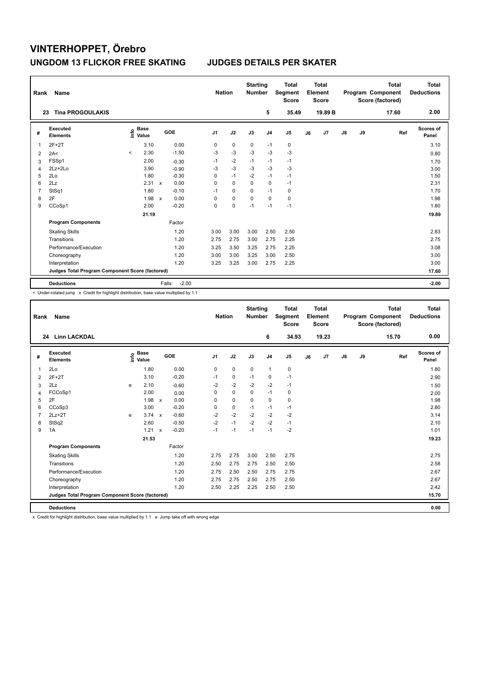| Rank           | Name                                            |                                  |                           |         | <b>Nation</b>  |             | <b>Starting</b><br><b>Number</b> |                | <b>Total</b><br>Segment<br><b>Score</b> |    | <b>Total</b><br>Element<br><b>Score</b> |               |    | <b>Total</b><br>Program Component<br>Score (factored) | Total<br><b>Deductions</b> |
|----------------|-------------------------------------------------|----------------------------------|---------------------------|---------|----------------|-------------|----------------------------------|----------------|-----------------------------------------|----|-----------------------------------------|---------------|----|-------------------------------------------------------|----------------------------|
|                | <b>Tina PROGOULAKIS</b><br>23                   |                                  |                           |         |                |             |                                  | 5              | 35.49                                   |    | 19.89 B                                 |               |    | 17.60                                                 | 2.00                       |
| #              | <b>Executed</b><br><b>Elements</b>              | <b>Base</b><br>e Base<br>⊆ Value |                           | GOE     | J <sub>1</sub> | J2          | J3                               | J <sub>4</sub> | J <sub>5</sub>                          | J6 | J <sub>7</sub>                          | $\mathsf{J}8$ | J9 | Ref                                                   | Scores of<br>Panel         |
| 1              | $2F+2T$                                         | 3.10                             |                           | 0.00    | 0              | $\mathbf 0$ | 0                                | $-1$           | 0                                       |    |                                         |               |    |                                                       | 3.10                       |
| 2              | 2A<                                             | 2.30<br>$\prec$                  |                           | $-1.50$ | $-3$           | $-3$        | $-3$                             | $-3$           | $-3$                                    |    |                                         |               |    |                                                       | 0.80                       |
| 3              | FSSp1                                           | 2.00                             |                           | $-0.30$ | $-1$           | $-2$        | $-1$                             | $-1$           | -1                                      |    |                                         |               |    |                                                       | 1.70                       |
| 4              | $2Lz+2Lo$                                       | 3.90                             |                           | $-0.90$ | -3             | $-3$        | -3                               | $-3$           | -3                                      |    |                                         |               |    |                                                       | 3.00                       |
| 5              | 2Lo                                             | 1.80                             |                           | $-0.30$ | 0              | $-1$        | $-2$                             | $-1$           | $-1$                                    |    |                                         |               |    |                                                       | 1.50                       |
| 6              | 2Lz                                             | 2.31                             | $\boldsymbol{\mathsf{x}}$ | 0.00    | 0              | $\mathbf 0$ | 0                                | $\mathbf 0$    | $-1$                                    |    |                                         |               |    |                                                       | 2.31                       |
| $\overline{7}$ | StSq1                                           | 1.80                             |                           | $-0.10$ | $-1$           | 0           | 0                                | $-1$           | 0                                       |    |                                         |               |    |                                                       | 1.70                       |
| 8              | 2F                                              | 1.98                             | $\mathbf x$               | 0.00    | 0              | $\mathbf 0$ | $\mathbf 0$                      | $\Omega$       | $\mathbf 0$                             |    |                                         |               |    |                                                       | 1.98                       |
| 9              | CCoSp1                                          | 2.00                             |                           | $-0.20$ | 0              | $\pmb{0}$   | $-1$                             | $-1$           | $-1$                                    |    |                                         |               |    |                                                       | 1.80                       |
|                |                                                 | 21.19                            |                           |         |                |             |                                  |                |                                         |    |                                         |               |    |                                                       | 19.89                      |
|                | <b>Program Components</b>                       |                                  |                           | Factor  |                |             |                                  |                |                                         |    |                                         |               |    |                                                       |                            |
|                | <b>Skating Skills</b>                           |                                  |                           | 1.20    | 3.00           | 3.00        | 3.00                             | 2.50           | 2.50                                    |    |                                         |               |    |                                                       | 2.83                       |
|                | Transitions                                     |                                  |                           | 1.20    | 2.75           | 2.75        | 3.00                             | 2.75           | 2.25                                    |    |                                         |               |    |                                                       | 2.75                       |
|                | Performance/Execution                           |                                  |                           | 1.20    | 3.25           | 3.50        | 3.25                             | 2.75           | 2.25                                    |    |                                         |               |    |                                                       | 3.08                       |
|                | Choreography                                    |                                  |                           | 1.20    | 3.00           | 3.00        | 3.25                             | 3.00           | 2.50                                    |    |                                         |               |    |                                                       | 3.00                       |
|                | Interpretation                                  |                                  |                           | 1.20    | 3.25           | 3.25        | 3.00                             | 2.75           | 2.25                                    |    |                                         |               |    |                                                       | 3.00                       |
|                | Judges Total Program Component Score (factored) |                                  |                           |         |                |             |                                  |                |                                         |    |                                         |               |    |                                                       | 17.60                      |
|                | <b>Deductions</b>                               |                                  | Falls:                    | $-2.00$ |                |             |                                  |                |                                         |    |                                         |               |    |                                                       | $-2.00$                    |

< Under-rotated jump x Credit for highlight distribution, base value multiplied by 1.1

| Rank           | Name                                            |   |                                  |                           |         |                | <b>Nation</b> | <b>Starting</b><br><b>Number</b> |                | <b>Total</b><br>Segment<br><b>Score</b> |    | Total<br>Element<br><b>Score</b> |               |    | <b>Total</b><br>Program Component<br>Score (factored) | <b>Total</b><br><b>Deductions</b> |
|----------------|-------------------------------------------------|---|----------------------------------|---------------------------|---------|----------------|---------------|----------------------------------|----------------|-----------------------------------------|----|----------------------------------|---------------|----|-------------------------------------------------------|-----------------------------------|
|                | <b>Linn LACKDAL</b><br>24                       |   |                                  |                           |         |                |               |                                  | 6              | 34.93                                   |    | 19.23                            |               |    | 15.70                                                 | 0.00                              |
| #              | Executed<br><b>Elements</b>                     |   | <b>Base</b><br>e Base<br>⊆ Value |                           | GOE     | J <sub>1</sub> | J2            | J3                               | J <sub>4</sub> | J <sub>5</sub>                          | J6 | J7                               | $\mathsf{J}8$ | J9 | Ref                                                   | Scores of<br>Panel                |
| 1              | 2Lo                                             |   | 1.80                             |                           | 0.00    | 0              | $\mathbf 0$   | $\mathbf 0$                      | $\mathbf{1}$   | $\pmb{0}$                               |    |                                  |               |    |                                                       | 1.80                              |
| 2              | $2F+2T$                                         |   | 3.10                             |                           | $-0.20$ | $-1$           | 0             | $-1$                             | 0              | $-1$                                    |    |                                  |               |    |                                                       | 2.90                              |
| 3              | 2Lz                                             | e | 2.10                             |                           | $-0.60$ | $-2$           | $-2$          | $-2$                             | $-2$           | $-1$                                    |    |                                  |               |    |                                                       | 1.50                              |
| $\overline{4}$ | FCCoSp1                                         |   | 2.00                             |                           | 0.00    | $\Omega$       | $\mathbf 0$   | $\Omega$                         | $-1$           | $\mathbf 0$                             |    |                                  |               |    |                                                       | 2.00                              |
| 5              | 2F                                              |   | 1.98                             | $\boldsymbol{\mathsf{x}}$ | 0.00    | 0              | $\mathbf 0$   | 0                                | $\mathbf 0$    | 0                                       |    |                                  |               |    |                                                       | 1.98                              |
| 6              | CCoSp3                                          |   | 3.00                             |                           | $-0.20$ | 0              | $\mathbf 0$   | $-1$                             | $-1$           | $-1$                                    |    |                                  |               |    |                                                       | 2.80                              |
| 7              | $2Lz+2T$                                        | e | 3.74                             | $\mathsf{x}$              | $-0.60$ | $-2$           | $-2$          | $-2$                             | $-2$           | $-2$                                    |    |                                  |               |    |                                                       | 3.14                              |
| 8              | StSq2                                           |   | 2.60                             |                           | $-0.50$ | $-2$           | $-1$          | $-2$                             | $-2$           | $-1$                                    |    |                                  |               |    |                                                       | 2.10                              |
| 9              | 1A                                              |   | 1.21                             | $\boldsymbol{\mathsf{x}}$ | $-0.20$ | $-1$           | $-1$          | $-1$                             | $-1$           | $-2$                                    |    |                                  |               |    |                                                       | 1.01                              |
|                |                                                 |   | 21.53                            |                           |         |                |               |                                  |                |                                         |    |                                  |               |    |                                                       | 19.23                             |
|                | <b>Program Components</b>                       |   |                                  |                           | Factor  |                |               |                                  |                |                                         |    |                                  |               |    |                                                       |                                   |
|                | <b>Skating Skills</b>                           |   |                                  |                           | 1.20    | 2.75           | 2.75          | 3.00                             | 2.50           | 2.75                                    |    |                                  |               |    |                                                       | 2.75                              |
|                | Transitions                                     |   |                                  |                           | 1.20    | 2.50           | 2.75          | 2.75                             | 2.50           | 2.50                                    |    |                                  |               |    |                                                       | 2.58                              |
|                | Performance/Execution                           |   |                                  |                           | 1.20    | 2.75           | 2.50          | 2.50                             | 2.75           | 2.75                                    |    |                                  |               |    |                                                       | 2.67                              |
|                | Choreography                                    |   |                                  |                           | 1.20    | 2.75           | 2.75          | 2.50                             | 2.75           | 2.50                                    |    |                                  |               |    |                                                       | 2.67                              |
|                | Interpretation                                  |   |                                  |                           | 1.20    | 2.50           | 2.25          | 2.25                             | 2.50           | 2.50                                    |    |                                  |               |    |                                                       | 2.42                              |
|                | Judges Total Program Component Score (factored) |   |                                  |                           |         |                |               |                                  |                |                                         |    |                                  |               |    |                                                       | 15.70                             |
|                | <b>Deductions</b>                               |   |                                  |                           |         |                |               |                                  |                |                                         |    |                                  |               |    |                                                       | 0.00                              |
|                |                                                 |   |                                  |                           |         |                |               |                                  |                |                                         |    |                                  |               |    |                                                       |                                   |

x Credit for highlight distribution, base value multiplied by 1.1 e Jump take off with wrong edge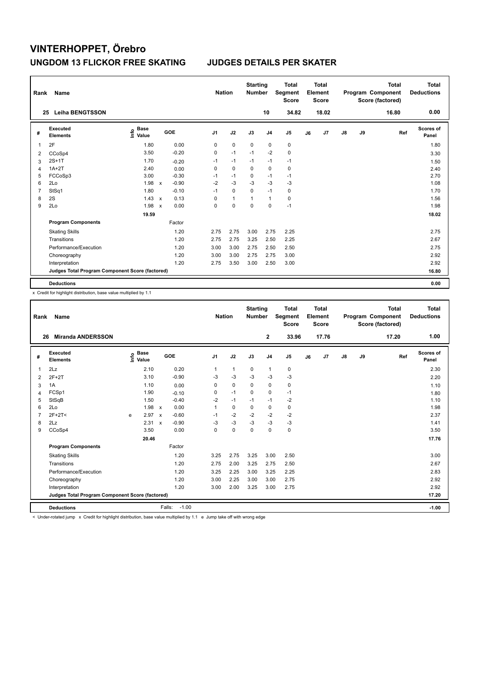| Rank | Name                                            |                                  |                           |         | <b>Nation</b>  |              | <b>Starting</b><br><b>Number</b> |                | <b>Total</b><br>Segment<br><b>Score</b> |    | <b>Total</b><br>Element<br><b>Score</b> |               |    | <b>Total</b><br>Program Component<br>Score (factored) | <b>Total</b><br><b>Deductions</b> |
|------|-------------------------------------------------|----------------------------------|---------------------------|---------|----------------|--------------|----------------------------------|----------------|-----------------------------------------|----|-----------------------------------------|---------------|----|-------------------------------------------------------|-----------------------------------|
|      | <b>Leiha BENGTSSON</b><br>25                    |                                  |                           |         |                |              |                                  | 10             | 34.82                                   |    | 18.02                                   |               |    | 16.80                                                 | 0.00                              |
| #    | Executed<br><b>Elements</b>                     | <b>Base</b><br>e Base<br>⊆ Value |                           | GOE     | J <sub>1</sub> | J2           | J3                               | J <sub>4</sub> | J <sub>5</sub>                          | J6 | J7                                      | $\mathsf{J}8$ | J9 | Ref                                                   | <b>Scores of</b><br>Panel         |
| 1    | 2F                                              | 1.80                             |                           | 0.00    | 0              | $\mathbf 0$  | $\mathbf 0$                      | $\mathbf 0$    | $\pmb{0}$                               |    |                                         |               |    |                                                       | 1.80                              |
| 2    | CCoSp4                                          | 3.50                             |                           | $-0.20$ | 0              | $-1$         | $-1$                             | $-2$           | $\pmb{0}$                               |    |                                         |               |    |                                                       | 3.30                              |
| 3    | $2S+1T$                                         | 1.70                             |                           | $-0.20$ | $-1$           | $-1$         | $-1$                             | $-1$           | $-1$                                    |    |                                         |               |    |                                                       | 1.50                              |
| 4    | $1A+2T$                                         | 2.40                             |                           | 0.00    | 0              | $\mathbf 0$  | 0                                | $\mathbf 0$    | 0                                       |    |                                         |               |    |                                                       | 2.40                              |
| 5    | FCCoSp3                                         | 3.00                             |                           | $-0.30$ | $-1$           | $-1$         | 0                                | $-1$           | $-1$                                    |    |                                         |               |    |                                                       | 2.70                              |
| 6    | 2Lo                                             | 1.98                             | $\mathsf{x}$              | $-0.90$ | $-2$           | $-3$         | $-3$                             | $-3$           | $-3$                                    |    |                                         |               |    |                                                       | 1.08                              |
| 7    | StSq1                                           | 1.80                             |                           | $-0.10$ | $-1$           | 0            | 0                                | $-1$           | 0                                       |    |                                         |               |    |                                                       | 1.70                              |
| 8    | 2S                                              | 1.43                             | $\boldsymbol{\mathsf{x}}$ | 0.13    | 0              | $\mathbf{1}$ | 1                                | $\overline{1}$ | $\pmb{0}$                               |    |                                         |               |    |                                                       | 1.56                              |
| 9    | 2Lo                                             | 1.98                             | $\boldsymbol{\mathsf{x}}$ | 0.00    | 0              | 0            | 0                                | 0              | $-1$                                    |    |                                         |               |    |                                                       | 1.98                              |
|      |                                                 | 19.59                            |                           |         |                |              |                                  |                |                                         |    |                                         |               |    |                                                       | 18.02                             |
|      | <b>Program Components</b>                       |                                  |                           | Factor  |                |              |                                  |                |                                         |    |                                         |               |    |                                                       |                                   |
|      | <b>Skating Skills</b>                           |                                  |                           | 1.20    | 2.75           | 2.75         | 3.00                             | 2.75           | 2.25                                    |    |                                         |               |    |                                                       | 2.75                              |
|      | Transitions                                     |                                  |                           | 1.20    | 2.75           | 2.75         | 3.25                             | 2.50           | 2.25                                    |    |                                         |               |    |                                                       | 2.67                              |
|      | Performance/Execution                           |                                  |                           | 1.20    | 3.00           | 3.00         | 2.75                             | 2.50           | 2.50                                    |    |                                         |               |    |                                                       | 2.75                              |
|      | Choreography                                    |                                  |                           | 1.20    | 3.00           | 3.00         | 2.75                             | 2.75           | 3.00                                    |    |                                         |               |    |                                                       | 2.92                              |
|      | Interpretation                                  |                                  |                           | 1.20    | 2.75           | 3.50         | 3.00                             | 2.50           | 3.00                                    |    |                                         |               |    |                                                       | 2.92                              |
|      | Judges Total Program Component Score (factored) |                                  |                           |         |                |              |                                  |                |                                         |    |                                         |               |    |                                                       | 16.80                             |
|      | <b>Deductions</b>                               |                                  |                           |         |                |              |                                  |                |                                         |    |                                         |               |    |                                                       | 0.00                              |

x Credit for highlight distribution, base value multiplied by 1.1

| Rank           | Name                                            |   |                                  |                           |         | <b>Nation</b>  |                | <b>Starting</b><br><b>Number</b> |                | <b>Total</b><br>Segment<br><b>Score</b> |    | <b>Total</b><br>Element<br>Score |    |    | <b>Total</b><br>Program Component<br>Score (factored) | Total<br><b>Deductions</b> |
|----------------|-------------------------------------------------|---|----------------------------------|---------------------------|---------|----------------|----------------|----------------------------------|----------------|-----------------------------------------|----|----------------------------------|----|----|-------------------------------------------------------|----------------------------|
| 26             | <b>Miranda ANDERSSON</b>                        |   |                                  |                           |         |                |                |                                  | $\mathbf{2}$   | 33.96                                   |    | 17.76                            |    |    | 17.20                                                 | 1.00                       |
| #              | Executed<br><b>Elements</b>                     |   | <b>Base</b><br>e Base<br>⊆ Value |                           | GOE     | J <sub>1</sub> | J2             | J3                               | J <sub>4</sub> | J <sub>5</sub>                          | J6 | J7                               | J8 | J9 | Ref                                                   | Scores of<br>Panel         |
| 1              | 2Lz                                             |   | 2.10                             |                           | 0.20    | 1              | $\overline{1}$ | $\mathbf 0$                      | $\mathbf{1}$   | $\mathbf 0$                             |    |                                  |    |    |                                                       | 2.30                       |
| 2              | $2F+2T$                                         |   | 3.10                             |                           | $-0.90$ | $-3$           | $-3$           | $-3$                             | $-3$           | $-3$                                    |    |                                  |    |    |                                                       | 2.20                       |
| 3              | 1A                                              |   | 1.10                             |                           | 0.00    | 0              | $\mathbf 0$    | $\Omega$                         | $\mathbf 0$    | 0                                       |    |                                  |    |    |                                                       | 1.10                       |
| 4              | FCSp1                                           |   | 1.90                             |                           | $-0.10$ | 0              | $-1$           | $\Omega$                         | $\mathbf 0$    | $-1$                                    |    |                                  |    |    |                                                       | 1.80                       |
| 5              | StSqB                                           |   | 1.50                             |                           | $-0.40$ | $-2$           | $-1$           | $-1$                             | $-1$           | $-2$                                    |    |                                  |    |    |                                                       | 1.10                       |
| 6              | 2Lo                                             |   | 1.98                             | $\boldsymbol{\mathsf{x}}$ | 0.00    | 1              | $\Omega$       | $\Omega$                         | 0              | 0                                       |    |                                  |    |    |                                                       | 1.98                       |
| $\overline{7}$ | $2F+2T<$                                        | e | 2.97                             | $\boldsymbol{\mathsf{x}}$ | $-0.60$ | $-1$           | $-2$           | $-2$                             | $-2$           | $-2$                                    |    |                                  |    |    |                                                       | 2.37                       |
| 8              | 2Lz                                             |   | 2.31                             | $\boldsymbol{\mathsf{x}}$ | $-0.90$ | $-3$           | $-3$           | $-3$                             | $-3$           | $-3$                                    |    |                                  |    |    |                                                       | 1.41                       |
| 9              | CCoSp4                                          |   | 3.50                             |                           | 0.00    | 0              | $\mathbf 0$    | 0                                | 0              | 0                                       |    |                                  |    |    |                                                       | 3.50                       |
|                |                                                 |   | 20.46                            |                           |         |                |                |                                  |                |                                         |    |                                  |    |    |                                                       | 17.76                      |
|                | <b>Program Components</b>                       |   |                                  |                           | Factor  |                |                |                                  |                |                                         |    |                                  |    |    |                                                       |                            |
|                | <b>Skating Skills</b>                           |   |                                  |                           | 1.20    | 3.25           | 2.75           | 3.25                             | 3.00           | 2.50                                    |    |                                  |    |    |                                                       | 3.00                       |
|                | Transitions                                     |   |                                  |                           | 1.20    | 2.75           | 2.00           | 3.25                             | 2.75           | 2.50                                    |    |                                  |    |    |                                                       | 2.67                       |
|                | Performance/Execution                           |   |                                  |                           | 1.20    | 3.25           | 2.25           | 3.00                             | 3.25           | 2.25                                    |    |                                  |    |    |                                                       | 2.83                       |
|                | Choreography                                    |   |                                  |                           | 1.20    | 3.00           | 2.25           | 3.00                             | 3.00           | 2.75                                    |    |                                  |    |    |                                                       | 2.92                       |
|                | Interpretation                                  |   |                                  |                           | 1.20    | 3.00           | 2.00           | 3.25                             | 3.00           | 2.75                                    |    |                                  |    |    |                                                       | 2.92                       |
|                | Judges Total Program Component Score (factored) |   |                                  |                           |         |                |                |                                  |                |                                         |    |                                  |    |    |                                                       | 17.20                      |
|                | <b>Deductions</b>                               |   |                                  | Falls:                    | $-1.00$ |                |                |                                  |                |                                         |    |                                  |    |    |                                                       | $-1.00$                    |

< Under-rotated jump x Credit for highlight distribution, base value multiplied by 1.1 e Jump take off with wrong edge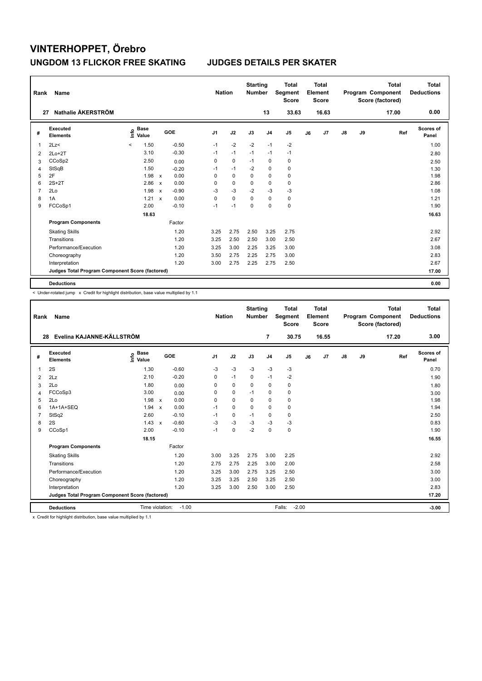| Rank           | Name                                            |                                  |                           |         | <b>Nation</b>  |             | <b>Starting</b><br><b>Number</b> |                | <b>Total</b><br>Segment<br><b>Score</b> |    | <b>Total</b><br>Element<br><b>Score</b> |               |    | <b>Total</b><br>Program Component<br>Score (factored) | <b>Total</b><br><b>Deductions</b> |
|----------------|-------------------------------------------------|----------------------------------|---------------------------|---------|----------------|-------------|----------------------------------|----------------|-----------------------------------------|----|-----------------------------------------|---------------|----|-------------------------------------------------------|-----------------------------------|
|                | Nathalie ÅKERSTRÖM<br>27                        |                                  |                           |         |                |             |                                  | 13             | 33.63                                   |    | 16.63                                   |               |    | 17.00                                                 | 0.00                              |
| #              | Executed<br><b>Elements</b>                     | <b>Base</b><br>۴٥<br>Value       |                           | GOE     | J <sub>1</sub> | J2          | J3                               | J <sub>4</sub> | J <sub>5</sub>                          | J6 | J7                                      | $\mathsf{J}8$ | J9 | Ref                                                   | <b>Scores of</b><br>Panel         |
| 1              | 2Lz<                                            | 1.50<br>$\overline{\phantom{a}}$ |                           | $-0.50$ | $-1$           | $-2$        | $-2$                             | $-1$           | $-2$                                    |    |                                         |               |    |                                                       | 1.00                              |
| 2              | $2Lo+2T$                                        | 3.10                             |                           | $-0.30$ | $-1$           | $-1$        | $-1$                             | $-1$           | $-1$                                    |    |                                         |               |    |                                                       | 2.80                              |
| 3              | CCoSp2                                          | 2.50                             |                           | 0.00    | 0              | 0           | $-1$                             | 0              | 0                                       |    |                                         |               |    |                                                       | 2.50                              |
| 4              | StSqB                                           | 1.50                             |                           | $-0.20$ | $-1$           | $-1$        | $-2$                             | 0              | 0                                       |    |                                         |               |    |                                                       | 1.30                              |
| 5              | 2F                                              | 1.98                             | $\mathsf{x}$              | 0.00    | 0              | 0           | 0                                | 0              | 0                                       |    |                                         |               |    |                                                       | 1.98                              |
| 6              | $2S+2T$                                         | 2.86                             | $\boldsymbol{\mathsf{x}}$ | 0.00    | 0              | $\mathbf 0$ | 0                                | $\pmb{0}$      | 0                                       |    |                                         |               |    |                                                       | 2.86                              |
| $\overline{7}$ | 2Lo                                             | 1.98                             | $\boldsymbol{\mathsf{x}}$ | $-0.90$ | $-3$           | $-3$        | $-2$                             | $-3$           | -3                                      |    |                                         |               |    |                                                       | 1.08                              |
| 8              | 1A                                              | 1.21                             | $\boldsymbol{\mathsf{x}}$ | 0.00    | 0              | $\mathbf 0$ | 0                                | $\mathbf 0$    | $\pmb{0}$                               |    |                                         |               |    |                                                       | 1.21                              |
| 9              | FCCoSp1                                         | 2.00                             |                           | $-0.10$ | $-1$           | $-1$        | 0                                | 0              | $\mathbf 0$                             |    |                                         |               |    |                                                       | 1.90                              |
|                |                                                 | 18.63                            |                           |         |                |             |                                  |                |                                         |    |                                         |               |    |                                                       | 16.63                             |
|                | <b>Program Components</b>                       |                                  |                           | Factor  |                |             |                                  |                |                                         |    |                                         |               |    |                                                       |                                   |
|                | <b>Skating Skills</b>                           |                                  |                           | 1.20    | 3.25           | 2.75        | 2.50                             | 3.25           | 2.75                                    |    |                                         |               |    |                                                       | 2.92                              |
|                | Transitions                                     |                                  |                           | 1.20    | 3.25           | 2.50        | 2.50                             | 3.00           | 2.50                                    |    |                                         |               |    |                                                       | 2.67                              |
|                | Performance/Execution                           |                                  |                           | 1.20    | 3.25           | 3.00        | 2.25                             | 3.25           | 3.00                                    |    |                                         |               |    |                                                       | 3.08                              |
|                | Choreography                                    |                                  |                           | 1.20    | 3.50           | 2.75        | 2.25                             | 2.75           | 3.00                                    |    |                                         |               |    |                                                       | 2.83                              |
|                | Interpretation                                  |                                  |                           | 1.20    | 3.00           | 2.75        | 2.25                             | 2.75           | 2.50                                    |    |                                         |               |    |                                                       | 2.67                              |
|                | Judges Total Program Component Score (factored) |                                  |                           |         |                |             |                                  |                |                                         |    |                                         |               |    |                                                       | 17.00                             |
|                | <b>Deductions</b>                               |                                  |                           |         |                |             |                                  |                |                                         |    |                                         |               |    |                                                       | 0.00                              |

-<br>< Under-rotated jump x Credit for highlight distribution, base value multiplied by 1.1

| Rank                            | Name                                            |                                  |                           |         | <b>Nation</b>  |             | <b>Starting</b><br><b>Number</b> |                | <b>Total</b><br>Segment<br><b>Score</b> |    | Total<br>Element<br><b>Score</b> |               |    | <b>Total</b><br>Program Component<br>Score (factored) | Total<br><b>Deductions</b> |
|---------------------------------|-------------------------------------------------|----------------------------------|---------------------------|---------|----------------|-------------|----------------------------------|----------------|-----------------------------------------|----|----------------------------------|---------------|----|-------------------------------------------------------|----------------------------|
| Evelina KAJANNE-KÄLLSTRÖM<br>28 |                                                 |                                  |                           |         |                |             |                                  | 7              | 30.75                                   |    | 16.55                            |               |    | 17.20                                                 | 3.00                       |
| #                               | Executed<br>Elements                            | <b>Base</b><br>e Base<br>⊆ Value | GOE                       |         | J <sub>1</sub> | J2          | J3                               | J <sub>4</sub> | J <sub>5</sub>                          | J6 | J7                               | $\mathsf{J}8$ | J9 | Ref                                                   | Scores of<br>Panel         |
| 1                               | 2S                                              | 1.30                             |                           | $-0.60$ | $-3$           | $-3$        | $-3$                             | $-3$           | $-3$                                    |    |                                  |               |    |                                                       | 0.70                       |
| $\overline{2}$                  | 2Lz                                             | 2.10                             |                           | $-0.20$ | $\Omega$       | $-1$        | $\mathbf 0$                      | $-1$           | $-2$                                    |    |                                  |               |    |                                                       | 1.90                       |
| 3                               | 2Lo                                             | 1.80                             |                           | 0.00    | 0              | $\mathbf 0$ | 0                                | 0              | 0                                       |    |                                  |               |    |                                                       | 1.80                       |
| 4                               | FCCoSp3                                         | 3.00                             |                           | 0.00    | $\Omega$       | $\mathbf 0$ | $-1$                             | 0              | $\mathbf 0$                             |    |                                  |               |    |                                                       | 3.00                       |
| 5                               | 2Lo                                             | 1.98                             | $\mathsf{x}$              | 0.00    | 0              | $\mathbf 0$ | 0                                | 0              | $\mathbf 0$                             |    |                                  |               |    |                                                       | 1.98                       |
| 6                               | $1A+1A+SEO$                                     | 1.94                             | $\boldsymbol{\mathsf{x}}$ | 0.00    | $-1$           | $\Omega$    | $\Omega$                         | $\Omega$       | 0                                       |    |                                  |               |    |                                                       | 1.94                       |
| $\overline{7}$                  | StSq2                                           | 2.60                             |                           | $-0.10$ | $-1$           | $\mathbf 0$ | $-1$                             | 0              | $\mathbf 0$                             |    |                                  |               |    |                                                       | 2.50                       |
| 8                               | 2S                                              | 1.43                             | $\mathbf{x}$              | $-0.60$ | $-3$           | $-3$        | $-3$                             | $-3$           | $-3$                                    |    |                                  |               |    |                                                       | 0.83                       |
| 9                               | CCoSp1                                          | 2.00                             |                           | $-0.10$ | $-1$           | $\mathbf 0$ | $-2$                             | 0              | $\pmb{0}$                               |    |                                  |               |    |                                                       | 1.90                       |
|                                 |                                                 | 18.15                            |                           |         |                |             |                                  |                |                                         |    |                                  |               |    |                                                       | 16.55                      |
|                                 | <b>Program Components</b>                       |                                  |                           | Factor  |                |             |                                  |                |                                         |    |                                  |               |    |                                                       |                            |
|                                 | <b>Skating Skills</b>                           |                                  |                           | 1.20    | 3.00           | 3.25        | 2.75                             | 3.00           | 2.25                                    |    |                                  |               |    |                                                       | 2.92                       |
|                                 | Transitions                                     |                                  |                           | 1.20    | 2.75           | 2.75        | 2.25                             | 3.00           | 2.00                                    |    |                                  |               |    |                                                       | 2.58                       |
|                                 | Performance/Execution                           |                                  |                           | 1.20    | 3.25           | 3.00        | 2.75                             | 3.25           | 2.50                                    |    |                                  |               |    |                                                       | 3.00                       |
|                                 | Choreography                                    |                                  |                           | 1.20    | 3.25           | 3.25        | 2.50                             | 3.25           | 2.50                                    |    |                                  |               |    |                                                       | 3.00                       |
|                                 | Interpretation                                  |                                  |                           | 1.20    | 3.25           | 3.00        | 2.50                             | 3.00           | 2.50                                    |    |                                  |               |    |                                                       | 2.83                       |
|                                 | Judges Total Program Component Score (factored) |                                  |                           |         |                |             |                                  |                |                                         |    |                                  |               |    |                                                       | 17.20                      |
|                                 | <b>Deductions</b>                               | Time violation:                  |                           | $-1.00$ |                |             |                                  |                | $-2.00$<br>Falls:                       |    |                                  |               |    |                                                       | $-3.00$                    |